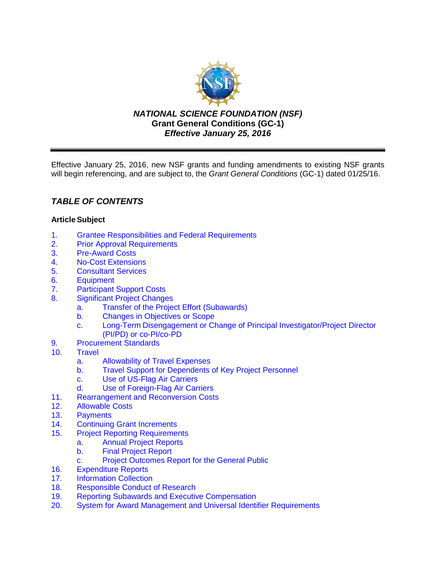

*NATIONAL SCIENCE FOUNDATION (NSF)* **Grant General Conditions (GC-1)** *Effective January 25, 2016*

Effective January 25, 2016, new NSF grants and funding amendments to existing NSF grants will begin referencing, and are subject to, the *Grant General Conditions* (GC-1) dated 01/25/16.

# *TABLE OF CONTENTS*

## **ArticleSubject**

- 1. [Grantee Responsibilities and Federal Requirements](#page-2-0)<br>2. Prior Approval Requirements
- **[Prior Approval Requirements](#page-3-0)**
- 3. [Pre-Award Costs](#page-4-0)
- 4. [No-Cost Extensions](#page-4-0)
- 5. [Consultant Services](#page-4-0)
- 6. [Equipment](#page-5-0)
- 7. [Participant Support Costs](#page-7-0)<br>8. Significant Project Change
- **[Significant Project Changes](#page-7-0)** 
	- a. [Transfer of the Project Effort \(Subawards\)](#page-7-0)
	- b. Changes [in Objectives or Scope](#page-8-0)
	- c. Long-Term Disengagement [or Change of Principal Investigator/Project Director](#page-8-0)  (PI/PD) or co-PI/co-PD
- 9. [Procurement Standards](#page-8-0)
- 10. [Travel](#page-9-0)
	- a. [Allowability of Travel Expenses](#page-9-0)
	- b. [Travel Support for Dependents of Key Project Personnel](#page-9-0)
	- c. [Use of US-Flag Air Carriers](#page-9-0)
	- d. [Use of Foreign-Flag Air Carriers](#page-10-0)
- 11. [Rearrangement and Reconversion Costs](#page-11-0)
- 12. [Allowable Costs](#page-12-0)
- 13. [Payments](#page-12-0)<br>14. Continuing
- **[Continuing Grant Increments](#page-13-0)**
- 15. [Project Reporting Requirements](#page-13-0)
	- a. [Annual Project Reports](#page-13-0)
		- b. [Final Project Report](#page-14-0)
		- c. [Project Outcomes Report for](#page-14-0) the General Public
- 16. [Expenditure Reports](#page-14-0)
- 17. [Information Collection](#page-15-0)
- 18. [Responsible Conduct of Research](#page-15-0)
- 19. [Reporting Subawards and Executive Compensation](#page-15-0)
- 20. System for Award Management [and Universal Identifier Requirements](#page-19-0)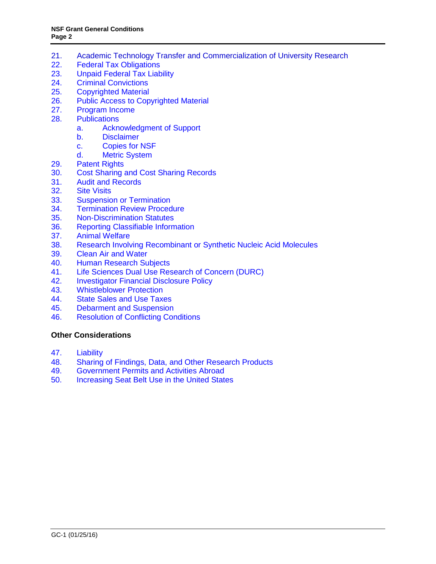- 21. [Academic Technology Transfer and Commercialization of University Research](#page-20-0)<br>22. Federal Tax Obligations
- **[Federal Tax Obligations](#page-21-0)**
- 23. [Unpaid Federal Tax Liability](#page-21-0)
- 24. [Criminal Convictions](#page-21-0)
- 25. [Copyrighted](#page-21-0) Material
- 26. [Public Access to Copyrighted Material](#page-22-0)
- 27. [Program Income](#page-23-0)
- 28. [Publications](#page-24-0)
	- a. [Acknowledgment of Support](#page-24-0)
	- b. [Disclaimer](#page-25-0)<br>c. Copies for
		- [Copies for NSF](#page-25-0)
	- d. [Metric System](#page-25-0)
- 29. [Patent Rights](#page-25-0)
- 30. [Cost Sharing and Cost Sharing Records](#page-31-0)
- 31. [Audit and Records](#page-32-0)
- 32. [Site Visits](#page-32-0)<br>33. Suspensio
- 33. [Suspension or Termination](#page-32-0)<br>34. Termination Review Proced
- **[Termination Review Procedure](#page-34-0)**
- 35. [Non-Discrimination](#page-34-0) Statutes
- 36. [Reporting Classifiable Information](#page-34-0)
- 37. [Animal Welfare](#page-35-0)
- 38. [Research Involving Recombinant or Synthetic Nucleic Acid Molecules](#page-35-0)
- 39. [Clean Air and Water](#page-36-0)<br>40. Human Research Su
- **[Human Research Subjects](#page-36-0)**
- 41. [Life Sciences Dual Use Research of Concern \(DURC\)](#page-36-0)
- 42. [Investigator Financial Disclosure Policy](#page-36-0)
- 43. [Whistleblower Protection](#page-37-0)
- 44. [State Sales and Use Taxes](#page-37-0)
- 45. [Debarment and Suspension](#page-37-0)
- 46. [Resolution of Conflicting Conditions](#page-37-0)

#### **[Other Considerations](#page-37-0)**

- 47. [Liability](#page-37-0)
- 48. [Sharing of Findings, Data, and Other Research Products](#page-37-0)
- 49. [Government Permits and Activities Abroad](#page-38-0)
- 50. [Increasing Seat Belt Use in the United States](#page-38-0)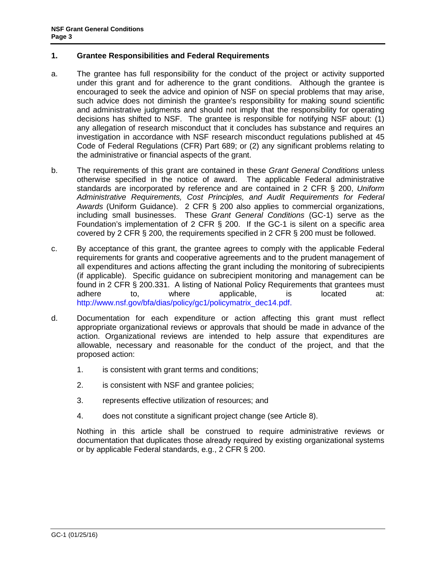## <span id="page-2-0"></span>**1. Grantee Responsibilities and Federal Requirements**

- a. The grantee has full responsibility for the conduct of the project or activity supported under this grant and for adherence to the grant conditions. Although the grantee is encouraged to seek the advice and opinion of NSF on special problems that may arise, such advice does not diminish the grantee's responsibility for making sound scientific and administrative judgments and should not imply that the responsibility for operating decisions has shifted to NSF. The grantee is responsible for notifying NSF about: (1) any allegation of research misconduct that it concludes has substance and requires an investigation in accordance with NSF research misconduct regulations published at [45](http://www.access.gpo.gov/nara/cfr/waisidx_06/45cfr689_06.html)  [Code of Federal Regulations \(CFR\) Part 689;](http://www.access.gpo.gov/nara/cfr/waisidx_06/45cfr689_06.html) or (2) any significant problems relating to the administrative or financial aspects of the grant.
- b. The requirements of this grant are contained in these *Grant General Conditions* unless otherwise specified in the notice of award. The applicable Federal administrative standards are incorporated by reference and are contained in [2 CFR §](http://www.ecfr.gov/cgi-bin/text-idx?SID=704835d27377ef5213a51c149de40cab&node=2:1.1.2.2.1&rgn=div5) 200, *Uniform Administrative Requirements, Cost Principles, and Audit Requirements for Federal Awards* (Uniform Guidance). 2 CFR § 200 also applies to commercial organizations, including small businesses. These *Grant General Conditions* (GC-1) serve as the Foundation's implementation of 2 CFR § 200. If the GC-1 is silent on a specific area covered by 2 CFR § 200, the requirements specified in 2 CFR § 200 must be followed.
- c. By acceptance of this grant, the grantee agrees to comply with the applicable Federal requirements for grants and cooperative agreements and to the prudent management of all expenditures and actions affecting the grant including the monitoring of subrecipients (if applicable). Specific guidance on subrecipient monitoring and management can be found in 2 CFR § 200.331. A listing of National Policy Requirements that grantees must adhere to, where applicable, is located at: [http://www.nsf.gov/bfa/dias/policy/gc1/policymatrix\\_dec14.pdf.](http://www.nsf.gov/bfa/dias/policy/gc1/policymatrix_dec14.pdf)
- d. Documentation for each expenditure or action affecting this grant must reflect appropriate organizational reviews or approvals that should be made in advance of the action. Organizational reviews are intended to help assure that expenditures are allowable, necessary and reasonable for the conduct of the project, and that the proposed action:
	- 1. is consistent with grant terms and conditions;
	- 2. is consistent with NSF and grantee policies;
	- 3. represents effective utilization of resources; and
	- 4. does not constitute a significant project change (see [Article 8\)](#page-7-1).

Nothing in this article shall be construed to require administrative reviews or documentation that duplicates those already required by existing organizational systems or by applicable Federal standards, e.g., 2 CFR § 200.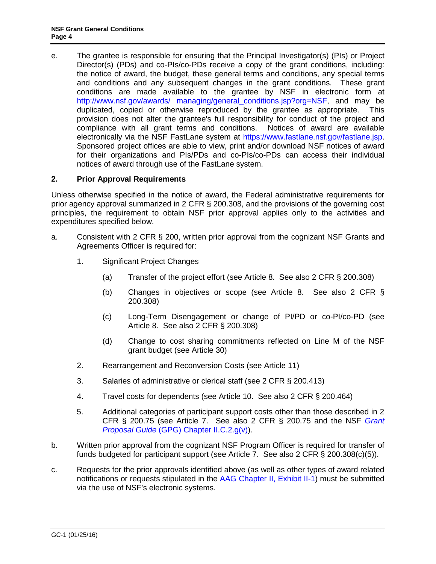<span id="page-3-0"></span>e. The grantee is responsible for ensuring that the Principal Investigator(s) (PIs) or Project Director(s) (PDs) and co-PIs/co-PDs receive a copy of the grant conditions, including: the notice of award, the budget, these general terms and conditions, any special terms and conditions and any subsequent changes in the grant conditions. These grant conditions are made available to the grantee by NSF in electronic form at [http://www.nsf.gov/awards/ managing/general\\_conditions.jsp?org=NSF,](http://www.nsf.gov/awards/managing/general_conditions.jsp?org=NSF) and may be duplicated, copied or otherwise reproduced by the grantee as appropriate. This provision does not alter the grantee's full responsibility for conduct of the project and compliance with all grant terms and conditions. Notices of award are available electronically via the NSF FastLane system at [https://www.fastlane.nsf.gov/fastlane.jsp.](https://www.fastlane.nsf.gov/fastlane.jsp) Sponsored project offices are able to view, print and/or download NSF notices of award for their organizations and PIs/PDs and co-PIs/co-PDs can access their individual notices of award through use of the FastLane system.

## <span id="page-3-1"></span>**2. Prior Approval Requirements**

Unless otherwise specified in the notice of award, the Federal administrative requirements for prior agency approval summarized in 2 CFR § 200.308, and the provisions of the governing cost principles, the requirement to obtain NSF prior approval applies only to the activities and expenditures specified below.

- a. Consistent with 2 CFR § 200, written prior approval from the cognizant NSF Grants and Agreements Officer is required for:
	- 1. Significant Project Changes
		- (a) Transfer of the project effort (see [Article 8.](#page-7-1) See also 2 CFR § 200.308)
		- (b) Changes in objectives or scope (see [Article 8.](#page-7-1) See also 2 CFR § 200.308)
		- (c) Long-Term Disengagement or change of PI/PD or co-PI/co-PD (see [Article 8.](#page-7-1) See also 2 CFR § 200.308)
		- (d) Change to cost sharing commitments reflected on Line M of the NSF grant budget (see [Article 3](#page-31-1)0)
	- 2. Rearrangement and Reconversion Costs (see [Article 11\)](#page-11-1)
	- 3. Salaries of administrative or clerical staff (see 2 CFR § 200.413)
	- 4. Travel costs for dependents (see Article 10. See also 2 CFR § 200.464)
	- 5. Additional categories of participant support costs other than those described in 2 CFR § 200.75 (see Article 7. See also 2 CFR § 200.75 and the NSF *[Grant](http://www.nsf.gov/pubs/policydocs/pappguide/nsf16001/gpg_2.jsp#IIC2gv)  Proposal Guide* [\(GPG\) Chapter II.C.2.g\(v\)\)](http://www.nsf.gov/pubs/policydocs/pappguide/nsf16001/gpg_2.jsp#IIC2gv).
- b. Written prior approval from the cognizant NSF Program Officer is required for transfer of funds budgeted for participant support (see [Article 7.](#page-7-2) See also 2 CFR § 200.308(c)(5)).
- c. Requests for the prior approvals identified above (as well as other types of award related notifications or requests stipulated in the [AAG Chapter II, Exhibit II-1\)](http://www.nsf.gov/pubs/policydocs/pappguide/nsf16001/aag_2ex1.pdf) must be submitted via the use of NSF's electronic systems.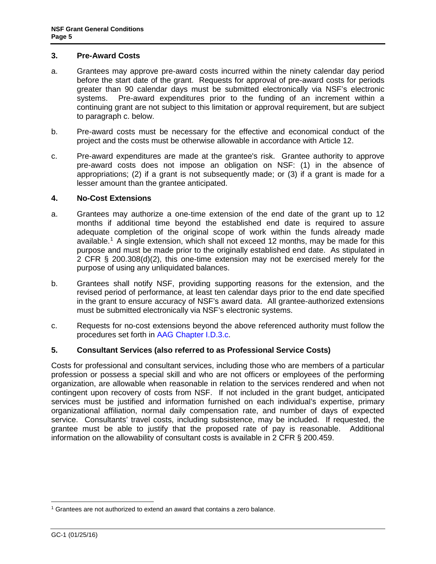#### <span id="page-4-0"></span>**3. Pre-Award Costs**

- a. Grantees may approve pre-award costs incurred within the ninety calendar day period before the start date of the grant. Requests for approval of pre-award costs for periods greater than 90 calendar days must be submitted electronically via NSF's electronic systems. Pre-award expenditures prior to the funding of an increment within a continuing grant are not subject to this limitation or approval requirement, but are subject to paragraph c. below.
- b. Pre-award costs must be necessary for the effective and economical conduct of the project and the costs must be otherwise allowable in accordance with [Article 12.](#page-12-1)
- c. Pre-award expenditures are made at the grantee's risk. Grantee authority to approve pre-award costs does not impose an obligation on NSF: (1) in the absence of appropriations; (2) if a grant is not subsequently made; or (3) if a grant is made for a lesser amount than the grantee anticipated.

#### **4. No-Cost Extensions**

- a. Grantees may authorize a one-time extension of the end date of the grant up to 12 months if additional time beyond the established end date is required to assure adequate completion of the original scope of work within the funds already made available.<sup>[1](#page-4-1)</sup> A single extension, which shall not exceed 12 months, may be made for this purpose and must be made prior to the originally established end date. As stipulated in 2 CFR § 200.308(d)(2), this one-time extension may not be exercised merely for the purpose of using any unliquidated balances.
- b. Grantees shall notify NSF, providing supporting reasons for the extension, and the revised period of performance, at least ten calendar days prior to the end date specified in the grant to ensure accuracy of NSF's award data. All grantee-authorized extensions must be submitted electronically via NSF's electronic systems.
- c. Requests for no-cost extensions beyond the above referenced authority must follow the procedures set forth in [AAG Chapter](http://www.nsf.gov/pubs/policydocs/pappguide/nsf16001/aag_1.jsp#ID3c) I.D.3.c.

## **5. Consultant Services (also referred to as Professional Service Costs)**

Costs for professional and consultant services, including those who are members of a particular profession or possess a special skill and who are not officers or employees of the performing organization, are allowable when reasonable in relation to the services rendered and when not contingent upon recovery of costs from NSF. If not included in the grant budget, anticipated services must be justified and information furnished on each individual's expertise, primary organizational affiliation, normal daily compensation rate, and number of days of expected service. Consultants' travel costs, including subsistence, may be included. If requested, the grantee must be able to justify that the proposed rate of pay is reasonable. Additional information on the allowability of consultant costs is available in 2 CFR § 200.459.

<span id="page-4-1"></span> $1$  Grantees are not authorized to extend an award that contains a zero balance.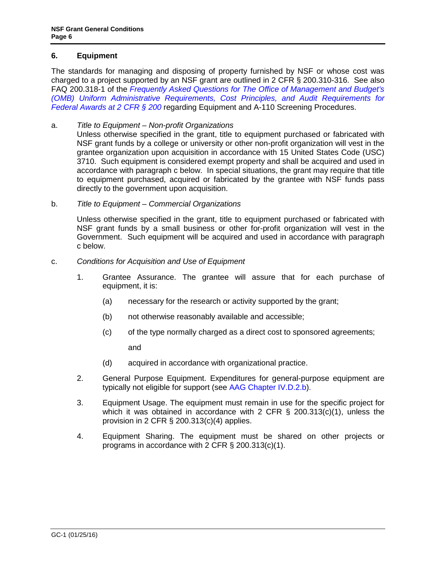## <span id="page-5-0"></span>**6. Equipment**

The standards for managing and disposing of property furnished by NSF or whose cost was charged to a project supported by an NSF grant are outlined in 2 CFR § 200.310-316. See also FAQ 200.318-1 of the *[Frequently Asked Questions for The Office of Management and Budget's](https://cfo.gov/wp-content/uploads/2015/09/9.9.15-Frequently-Asked-Questions.pdf) (OMB) [Uniform Administrative Requirements, Cost Principles, and Audit Requirements for](https://cfo.gov/wp-content/uploads/2015/09/9.9.15-Frequently-Asked-Questions.pdf)  [Federal Awards at 2 CFR § 200](https://cfo.gov/wp-content/uploads/2015/09/9.9.15-Frequently-Asked-Questions.pdf)* regarding Equipment and A-110 Screening Procedures.

## a. *Title to Equipment – Non-profit Organizations*

Unless otherwise specified in the grant, title to equipment purchased or fabricated with NSF grant funds by a college or university or other non-profit organization will vest in the grantee organization upon acquisition in accordance with 15 United States Code (USC) 3710. Such equipment is considered exempt property and shall be acquired and used in accordance with [paragraph c](#page-5-1) below. In special situations, the grant may require that title to equipment purchased, acquired or fabricated by the grantee with NSF funds pass directly to the government upon acquisition.

b. *Title to Equipment – Commercial Organizations*

Unless otherwise specified in the grant, title to equipment purchased or fabricated with NSF grant funds by a small business or other for-profit organization will vest in the Government. Such equipment will be acquired and used in accordance with [paragraph](#page-5-1)  [c](#page-5-1) below.

#### <span id="page-5-1"></span>c. *Conditions for Acquisition and Use of Equipment*

- 1. Grantee Assurance. The grantee will assure that for each purchase of equipment, it is:
	- (a) necessary for the research or activity supported by the grant;
	- (b) not otherwise reasonably available and accessible;
	- (c) of the type normally charged as a direct cost to sponsored agreements;

and

- (d) acquired in accordance with organizational practice.
- 2. General Purpose Equipment. Expenditures for general-purpose equipment are typically not eligible for support (see [AAG Chapter IV.D.2.b\)](http://www.nsf.gov/pubs/policydocs/pappguide/nsf16001/aag_4.jsp#IVD2).
- 3. Equipment Usage. The equipment must remain in use for the specific project for which it was obtained in accordance with [2 CFR § 200.313\(c\)\(1\),](http://a257.g.akamaitech.net/7/257/2422/15mar20071500/edocket.access.gpo.gov/cfr_2007/janqtr/pdf/2cfr215.34.pdf) unless the provision in 2 [CFR § 200.313\(c\)\(4\)](http://a257.g.akamaitech.net/7/257/2422/15mar20071500/edocket.access.gpo.gov/cfr_2007/janqtr/pdf/2cfr215.34.pdf) applies.
- 4. Equipment Sharing. The equipment must be shared on other projects or programs in accordance with [2 CFR § 200.313\(c\)\(1\).](http://a257.g.akamaitech.net/7/257/2422/15mar20071500/edocket.access.gpo.gov/cfr_2007/janqtr/pdf/2cfr215.34.pdf)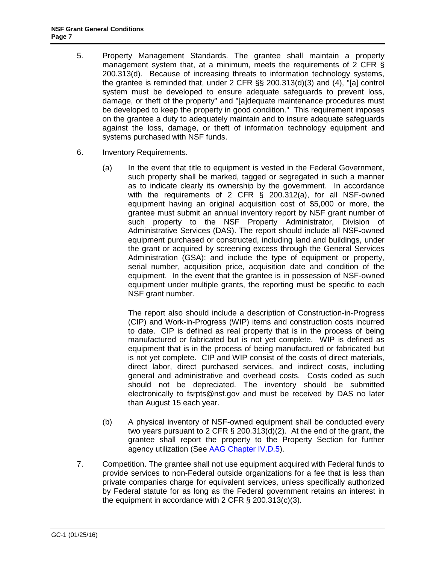- 5. Property Management Standards. The grantee shall maintain a property management system that, at a minimum, meets the requirements of [2 CFR §](http://a257.g.akamaitech.net/7/257/2422/15mar20071500/edocket.access.gpo.gov/cfr_2007/janqtr/pdf/2cfr215.34.pdf)  [200.313\(d\).](http://a257.g.akamaitech.net/7/257/2422/15mar20071500/edocket.access.gpo.gov/cfr_2007/janqtr/pdf/2cfr215.34.pdf) Because of increasing threats to information technology systems, the grantee is reminded that, under [2 CFR §§ 200.313\(d\)\(3\) and \(4\)](http://a257.g.akamaitech.net/7/257/2422/15mar20071500/edocket.access.gpo.gov/cfr_2007/janqtr/pdf/2cfr215.34.pdf), "[a] control system must be developed to ensure adequate safeguards to prevent loss, damage, or theft of the property" and "[a]dequate maintenance procedures must be developed to keep the property in good condition." This requirement imposes on the grantee a duty to adequately maintain and to insure adequate safeguards against the loss, damage, or theft of information technology equipment and systems purchased with NSF funds.
- 6. Inventory Requirements.
	- (a) In the event that title to equipment is vested in the Federal Government, such property shall be marked, tagged or segregated in such a manner as to indicate clearly its ownership by the government. In accordance with the requirements of 2 CFR § 200.312(a), for all NSF-owned equipment having an original acquisition cost of \$5,000 or more, the grantee must submit an annual inventory report by NSF grant number of such property to the NSF Property Administrator, Division of Administrative Services (DAS). The report should include all NSF-owned equipment purchased or constructed, including land and buildings, under the grant or acquired by screening excess through the General Services Administration (GSA); and include the type of equipment or property, serial number, acquisition price, acquisition date and condition of the equipment. In the event that the grantee is in possession of NSF-owned equipment under multiple grants, the reporting must be specific to each NSF grant number.

The report also should include a description of Construction-in-Progress (CIP) and Work-in-Progress (WIP) items and construction costs incurred to date. CIP is defined as real property that is in the process of being manufactured or fabricated but is not yet complete. WIP is defined as equipment that is in the process of being manufactured or fabricated but is not yet complete. CIP and WIP consist of the costs of direct materials, direct labor, direct purchased services, and indirect costs, including general and administrative and overhead costs. Costs coded as such should not be depreciated. The inventory should be submitted electronically to [fsrpts@nsf.gov](mailto:fsrpts@nsf.gov) and must be received by DAS no later than August 15 each year.

- (b) A physical inventory of NSF-owned equipment shall be conducted every two years pursuant to [2 CFR § 200.313\(d\)\(2\).](http://a257.g.akamaitech.net/7/257/2422/15mar20071500/edocket.access.gpo.gov/cfr_2007/janqtr/pdf/2cfr215.34.pdf) At the end of the grant, the grantee shall report the property to the Property Section for further agency utilization (See [AAG Chapter IV.D.5\)](http://www.nsf.gov/pubs/policydocs/pappguide/nsf16001/aag_4.jsp#IVD5).
- 7. Competition. The grantee shall not use equipment acquired with Federal funds to provide services to non-Federal outside organizations for a fee that is less than private companies charge for equivalent services, unless specifically authorized by Federal statute for as long as the Federal government retains an interest in the equipment in accordance with [2 CFR § 200.313\(c\)\(](http://a257.g.akamaitech.net/7/257/2422/15mar20071500/edocket.access.gpo.gov/cfr_2007/janqtr/pdf/2cfr215.34.pdf)3).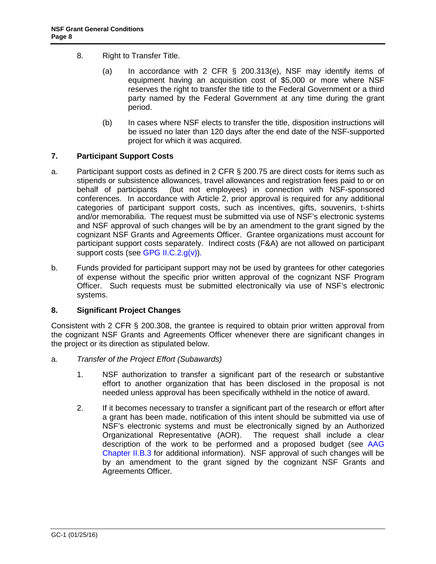- <span id="page-7-0"></span>8. Right to Transfer Title.
	- (a) In accordance with 2 CFR § 200.313(e), NSF may identify items of equipment having an acquisition cost of \$5,000 or more where NSF reserves the right to transfer the title to the Federal Government or a third party named by the Federal Government at any time during the grant period.
	- (b) In cases where NSF elects to transfer the title, disposition instructions will be issued no later than 120 days after the end date of the NSF-supported project for which it was acquired.

### <span id="page-7-2"></span>**7. Participant Support Costs**

- a. Participant support costs as defined in 2 CFR § 200.75 are direct costs for items such as stipends or subsistence allowances, travel allowances and registration fees paid to or on behalf of participants (but not employees) in connection with NSF-sponsored conferences. In accordance with Article 2, prior approval is required for any additional categories of participant support costs, such as incentives, gifts, souvenirs, t-shirts and/or memorabilia. The request must be submitted via use of NSF's electronic systems and NSF approval of such changes will be by an amendment to the grant signed by the cognizant NSF Grants and Agreements Officer. Grantee organizations must account for participant support costs separately. Indirect costs (F&A) are not allowed on participant support costs (see [GPG II.C.2.g\(v\)\).](http://www.nsf.gov/pubs/policydocs/pappguide/nsf16001/gpg_2.jsp#IIC2gv)
- b. Funds provided for participant support may not be used by grantees for other categories of expense without the specific prior written approval of the cognizant NSF Program Officer. Such requests must be submitted electronically via use of NSF's electronic systems.

## <span id="page-7-1"></span>**8. Significant Project Changes**

Consistent with 2 CFR § 200.308, the grantee is required to obtain prior written approval from the cognizant NSF Grants and Agreements Officer whenever there are significant changes in the project or its direction as stipulated below.

- <span id="page-7-3"></span>a. *Transfer of the Project Effort (Subawards)*
	- 1. NSF authorization to transfer a significant part of the research or substantive effort to another organization that has been disclosed in the proposal is not needed unless approval has been specifically withheld in the notice of award.
	- 2. If it becomes necessary to transfer a significant part of the research or effort after a grant has been made, notification of this intent should be submitted via use of NSF's electronic systems and must be electronically signed by an Authorized Organizational Representative (AOR). The request shall include a clear description of the work to be performed and a proposed budget (see [AAG](http://www.nsf.gov/pubs/policydocs/pappguide/nsf16001/aag_2.jsp#IIB3)  [Chapter II.B.3](http://www.nsf.gov/pubs/policydocs/pappguide/nsf16001/aag_2.jsp#IIB3) for additional information). NSF approval of such changes will be by an amendment to the grant signed by the cognizant NSF Grants and Agreements Officer.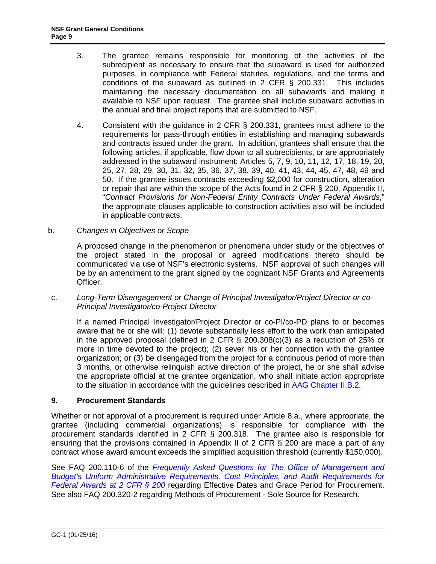- <span id="page-8-0"></span>3. The grantee remains responsible for monitoring of the activities of the subrecipient as necessary to ensure that the subaward is used for authorized purposes, in compliance with Federal statutes, regulations, and the terms and conditions of the subaward as outlined in 2 CFR § 200.331. This includes maintaining the necessary documentation on all subawards and making it available to NSF upon request. The grantee shall include subaward activities in the annual and final project reports that are submitted to NSF.
- 4. Consistent with the guidance in 2 CFR § 200.331, grantees must adhere to the requirements for pass-through entities in establishing and managing subawards and contracts issued under the grant. In addition, grantees shall ensure that the following articles, if applicable, flow down to all subrecipients, or are appropriately addressed in the subaward instrument: Articles 5, 7, 9, 10, 11, 12, 17, 18, 19, 20, 25, 27, 28, 29, 30, 31, 32, 35, 36, 37, 38, 39, 40, 41, 43, 44, 45, 47, 48, 49 and 50. If the grantee issues contracts exceeding \$2,000 for construction, alteration or repair that are within the scope of the Acts found in 2 CFR § [200, Appendix II,](http://www.access.gpo.gov/nara/cfr/waisidx_07/2cfr215_07.html)  "*[Contract Provisions](http://www.access.gpo.gov/nara/cfr/waisidx_07/2cfr215_07.html) for Non-Federal Entity Contracts Under Federal Awards*," the appropriate clauses applicable to construction activities also will be included in applicable contracts.
- b. *Changes in Objectives or Scope*

A proposed change in the phenomenon or phenomena under study or the objectives of the project stated in the proposal or agreed modifications thereto should be communicated via use of NSF's electronic systems. NSF approval of such changes will be by an amendment to the grant signed by the cognizant NSF Grants and Agreements Officer.

c. *Long-Term Disengagement or Change of Principal Investigator/Project Director or co-Principal Investigator/co-Project Director*

If a named Principal Investigator/Project Director or co-PI/co-PD plans to or becomes aware that he or she will: (1) devote substantially less effort to the work than anticipated in the approved proposal (defined in 2 CFR § 200.308(c)(3) as a reduction of 25% or more in time devoted to the project); (2) sever his or her connection with the grantee organization; or (3) be disengaged from the project for a continuous period of more than 3 months, or otherwise relinquish active direction of the project, he or she shall advise the appropriate official at the grantee organization, who shall initiate action appropriate to the situation in accordance with the guidelines described in [AAG Chapter II.B.2.](http://www.nsf.gov/pubs/policydocs/pappguide/nsf16001/aag_2.jsp#IIB2)

#### **9. Procurement Standards**

Whether or not approval of a procurement is required under [Article 8.a.](#page-7-3), where appropriate, the grantee (including commercial organizations) is responsible for compliance with the procurement standards identified in [2 CFR § 200.3](http://www.access.gpo.gov/nara/cfr/waisidx_07/2cfr215_07.html)18. The grantee also is responsible for ensuring that the provisions contained in Appendix II of 2 CFR § 200 are made a part of any contract whose award amount exceeds the simplified acquisition threshold (currently \$150,000).

See FAQ 200.110-6 of the *[Frequently Asked Questions for The Office of Management and](https://cfo.gov/wp-content/uploads/2015/09/9.9.15-Frequently-Asked-Questions.pdf)  [Budget's Uniform Administrative Requirements, Cost Principles, and Audit Requirements for](https://cfo.gov/wp-content/uploads/2015/09/9.9.15-Frequently-Asked-Questions.pdf)  [Federal Awards at 2 CFR § 200](https://cfo.gov/wp-content/uploads/2015/09/9.9.15-Frequently-Asked-Questions.pdf)* regarding Effective Dates and Grace Period for Procurement. See also FAQ 200.320-2 regarding Methods of Procurement - Sole Source for Research.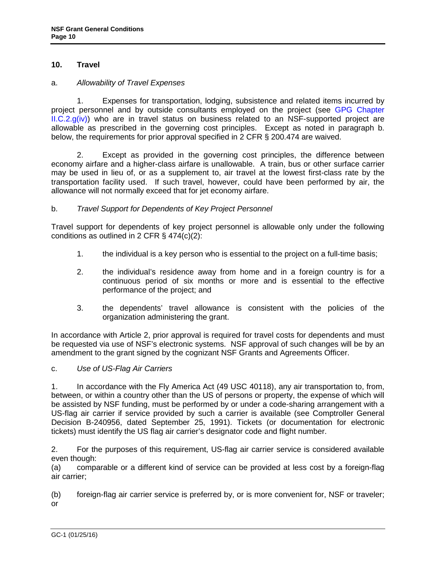## <span id="page-9-0"></span>**10. Travel**

#### a. *Allowability of Travel Expenses*

1. Expenses for transportation, lodging, subsistence and related items incurred by project personnel and by outside consultants employed on the project (see [GPG Chapter](http://www.nsf.gov/pubs/policydocs/pappguide/nsf16001/gpg_2.jsp#IIC2giv)   $ILC.2.g(iv)$  who are in travel status on business related to an NSF-supported project are allowable as prescribed in the governing cost principles. Except as noted in paragraph b. below, the requirements for prior approval specified in 2 CFR § 200.474 are waived.

2. Except as provided in the governing cost principles, the difference between economy airfare and a higher-class airfare is unallowable. A train, bus or other surface carrier may be used in lieu of, or as a supplement to, air travel at the lowest first-class rate by the transportation facility used. If such travel, however, could have been performed by air, the allowance will not normally exceed that for jet economy airfare.

### b. *Travel Support for Dependents of Key Project Personnel*

Travel support for dependents of key project personnel is allowable only under the following conditions as outlined in 2 CFR § 474(c)(2):

- 1. the individual is a key person who is essential to the project on a full-time basis;
- 2. the individual's residence away from home and in a foreign country is for a continuous period of six months or more and is essential to the effective performance of the project; and
- 3. the dependents' travel allowance is consistent with the policies of the organization administering the grant.

In accordance with Article 2, prior approval is required for travel costs for dependents and must be requested via use of NSF's electronic systems. NSF approval of such changes will be by an amendment to the grant signed by the cognizant NSF Grants and Agreements Officer.

#### c. *Use of US-Flag Air Carriers*

1. In accordance with the Fly America Act (49 USC 40118), any air transportation to, from, between, or within a country other than the US of persons or property, the expense of which will be assisted by NSF funding, must be performed by or under a code-sharing arrangement with a US-flag air carrier if service provided by such a carrier is available (see Comptroller General Decision B-240956, dated September 25, 1991). Tickets (or documentation for electronic tickets) must identify the US flag air carrier's designator code and flight number.

2. For the purposes of this requirement, US-flag air carrier service is considered available even though:

(a) comparable or a different kind of service can be provided at less cost by a foreign-flag air carrier;

(b) foreign-flag air carrier service is preferred by, or is more convenient for, NSF or traveler; or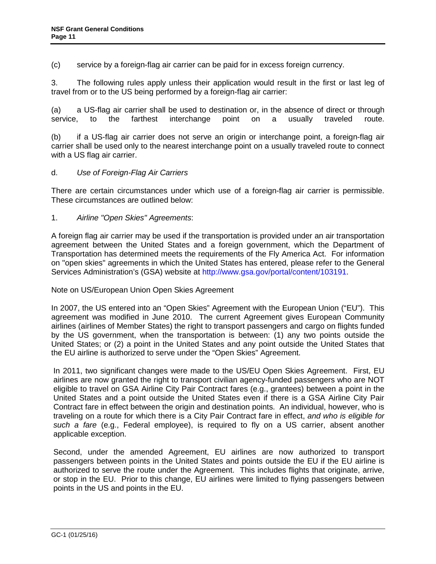<span id="page-10-0"></span>(c) service by a foreign-flag air carrier can be paid for in excess foreign currency.

3. The following rules apply unless their application would result in the first or last leg of travel from or to the US being performed by a foreign-flag air carrier:

(a) a US-flag air carrier shall be used to destination or, in the absence of direct or through service, to the farthest interchange point on a usually traveled route.

(b) if a US-flag air carrier does not serve an origin or interchange point, a foreign-flag air carrier shall be used only to the nearest interchange point on a usually traveled route to connect with a US flag air carrier.

## d. *Use of Foreign-Flag Air Carriers*

There are certain circumstances under which use of a foreign-flag air carrier is permissible. These circumstances are outlined below:

1. *Airline "Open Skies" Agreements*:

A foreign flag air carrier may be used if the transportation is provided under an air transportation agreement between the United States and a foreign government, which the Department of Transportation has determined meets the requirements of the Fly America Act. For information on "open skies" agreements in which the United States has entered, please refer to the General Services Administration's (GSA) website at [http://www.gsa.gov/portal/content/103191.](http://www.gsa.gov/portal/content/103191)

Note on US/European Union Open Skies Agreement

In 2007, the US entered into an "Open Skies" Agreement with the European Union ("EU"). This agreement was modified in June 2010. The current Agreement gives European Community airlines (airlines of Member States) the right to transport passengers and cargo on flights funded by the US government, when the transportation is between: (1) any two points outside the United States; or (2) a point in the United States and any point outside the United States that the EU airline is authorized to serve under the "Open Skies" Agreement.

In 2011, two significant changes were made to the US/EU Open Skies Agreement. First, EU airlines are now granted the right to transport civilian agency-funded passengers who are NOT eligible to travel on GSA Airline City Pair Contract fares (e.g., grantees) between a point in the United States and a point outside the United States even if there is a GSA Airline City Pair Contract fare in effect between the origin and destination points. An individual, however, who is traveling on a route for which there is a City Pair Contract fare in effect, *and who is eligible for such a fare* (e.g., Federal employee), is required to fly on a US carrier, absent another applicable exception.

Second, under the amended Agreement, EU airlines are now authorized to transport passengers between points in the United States and points outside the EU if the EU airline is authorized to serve the route under the Agreement. This includes flights that originate, arrive, or stop in the EU. Prior to this change, EU airlines were limited to flying passengers between points in the US and points in the EU.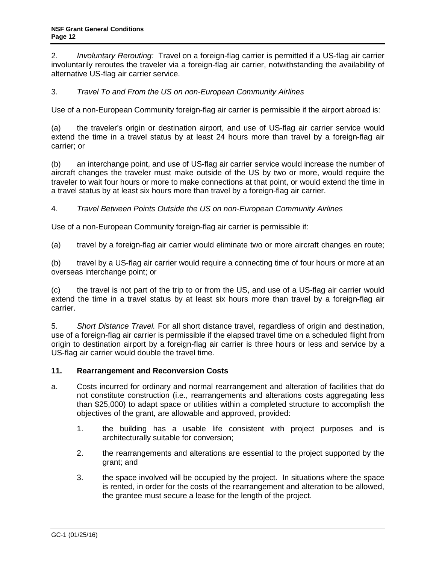<span id="page-11-0"></span>2. *Involuntary Rerouting:* Travel on a foreign-flag carrier is permitted if a US-flag air carrier involuntarily reroutes the traveler via a foreign-flag air carrier, notwithstanding the availability of alternative US-flag air carrier service.

## 3. *Travel To and From the US on non-European Community Airlines*

Use of a non-European Community foreign-flag air carrier is permissible if the airport abroad is:

(a) the traveler's origin or destination airport, and use of US-flag air carrier service would extend the time in a travel status by at least 24 hours more than travel by a foreign-flag air carrier; or

(b) an interchange point, and use of US-flag air carrier service would increase the number of aircraft changes the traveler must make outside of the US by two or more, would require the traveler to wait four hours or more to make connections at that point, or would extend the time in a travel status by at least six hours more than travel by a foreign-flag air carrier.

### 4. *Travel Between Points Outside the US on non-European Community Airlines*

Use of a non-European Community foreign-flag air carrier is permissible if:

(a) travel by a foreign-flag air carrier would eliminate two or more aircraft changes en route;

(b) travel by a US-flag air carrier would require a connecting time of four hours or more at an overseas interchange point; or

(c) the travel is not part of the trip to or from the US, and use of a US-flag air carrier would extend the time in a travel status by at least six hours more than travel by a foreign-flag air carrier.

5. *Short Distance Travel.* For all short distance travel, regardless of origin and destination, use of a foreign-flag air carrier is permissible if the elapsed travel time on a scheduled flight from origin to destination airport by a foreign-flag air carrier is three hours or less and service by a US-flag air carrier would double the travel time.

#### <span id="page-11-1"></span>**11. Rearrangement and Reconversion Costs**

- a. Costs incurred for ordinary and normal rearrangement and alteration of facilities that do not constitute construction (i.e., rearrangements and alterations costs aggregating less than \$25,000) to adapt space or utilities within a completed structure to accomplish the objectives of the grant, are allowable and approved, provided:
	- 1. the building has a usable life consistent with project purposes and is architecturally suitable for conversion;
	- 2. the rearrangements and alterations are essential to the project supported by the grant; and
	- 3. the space involved will be occupied by the project. In situations where the space is rented, in order for the costs of the rearrangement and alteration to be allowed, the grantee must secure a lease for the length of the project.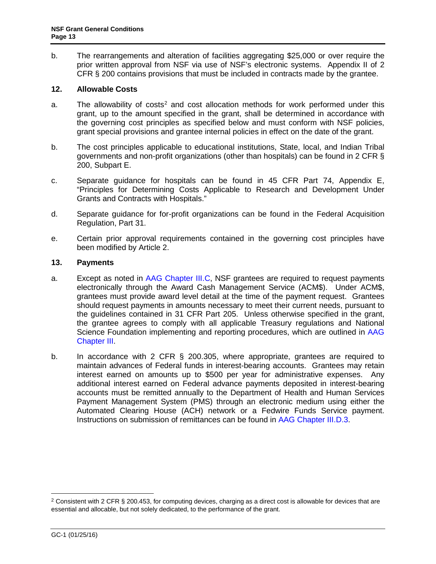<span id="page-12-0"></span>b. The rearrangements and alteration of facilities aggregating \$25,000 or over require the prior written approval from NSF via use of NSF's electronic systems. Appendix II of 2 CFR § 200 contains provisions that must be included in contracts made by the grantee.

### <span id="page-12-1"></span>**12. Allowable Costs**

- a. The allowability of costs<sup>[2](#page-12-2)</sup> and cost allocation methods for work performed under this grant, up to the amount specified in the grant, shall be determined in accordance with the governing cost principles as specified below and must conform with NSF policies, grant special provisions and grantee internal policies in effect on the date of the grant.
- <span id="page-12-3"></span>b. The cost principles applicable to educational institutions, State, local, and Indian Tribal governments and non-profit organizations (other than hospitals) can be found in 2 CFR § 200, Subpart E.
- c. Separate guidance for hospitals can be found in [45 CFR Part 74, Appendix E,](http://a257.g.akamaitech.net/7/257/2422/13nov20061500/edocket.access.gpo.gov/cfr_2006/octqtr/pdf/45cfr74.91.pdf) "Principles for Determining Costs Applicable to Research and Development Under Grants and Contracts with Hospitals."
- d. Separate guidance for for-profit organizations can be found in the Federal Acquisition Regulation, Part 31.
- e. Certain prior approval requirements contained in the governing cost principles have been modified by [Article 2.](#page-3-1)

## **13. Payments**

- a. Except as noted in [AAG Chapter III.C,](http://www.nsf.gov/pubs/policydocs/pappguide/nsf16001/aag_3.jsp#IIIC) NSF grantees are required to request payments electronically through the Award Cash Management Service (ACM\$). Under ACM\$, grantees must provide award level detail at the time of the payment request. Grantees should request payments in amounts necessary to meet their current needs, pursuant to the guidelines contained in [31 CFR Part 205.](http://www.access.gpo.gov/nara/cfr/waisidx_06/31cfr205_06.html) Unless otherwise specified in the grant, the grantee agrees to comply with all applicable Treasury regulations and National Science Foundation implementing and reporting procedures, which are outlined in [AAG](http://www.nsf.gov/pubs/policydocs/pappguide/nsf16001/aag_3.jsp)  [Chapter III.](http://www.nsf.gov/pubs/policydocs/pappguide/nsf16001/aag_3.jsp)
- b. In accordance with [2 CFR § 200.3](http://www.access.gpo.gov/nara/cfr/waisidx_06/31cfr205_06.html)05, where appropriate, grantees are required to maintain advances of Federal funds in interest-bearing accounts. Grantees may retain interest earned on amounts up to \$500 per year for administrative expenses. Any additional interest earned on Federal advance payments deposited in interest-bearing accounts must be remitted annually to the Department of Health and Human Services Payment Management System (PMS) through an electronic medium using either the Automated Clearing House (ACH) network or a Fedwire Funds Service payment. Instructions on submission of remittances can be found in [AAG Chapter III.D.3.](http://www.nsf.gov/pubs/policydocs/pappguide/nsf16001/aag_3.jsp#IIID3)

<span id="page-12-2"></span><sup>&</sup>lt;sup>2</sup> Consistent with 2 CFR § 200.453, for computing devices, charging as a direct cost is allowable for devices that are essential and allocable, but not solely dedicated, to the performance of the grant.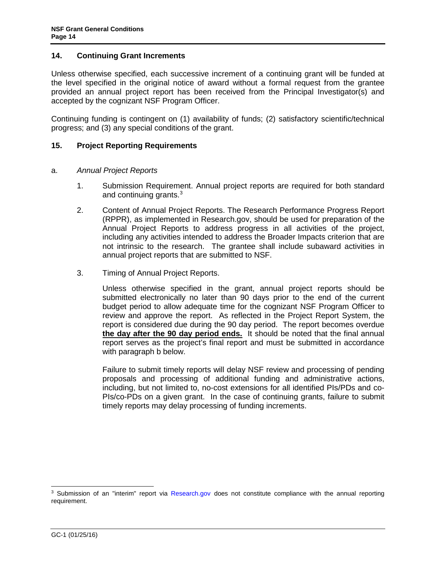#### <span id="page-13-0"></span>**14. Continuing Grant Increments**

Unless otherwise specified, each successive increment of a continuing grant will be funded at the level specified in the original notice of award without a formal request from the grantee provided an annual project report has been received from the Principal Investigator(s) and accepted by the cognizant NSF Program Officer.

Continuing funding is contingent on (1) availability of funds; (2) satisfactory scientific/technical progress; and (3) any special conditions of the grant.

### **15. Project Reporting Requirements**

#### a. *Annual Project Reports*

- 1. Submission Requirement. Annual project reports are required for both standard and continuing grants.[3](#page-13-1)
- 2. Content of Annual Project Reports. The Research Performance Progress Report (RPPR), as implemented in Research.gov, should be used for preparation of the Annual Project Reports to address progress in all activities of the project, including any activities intended to address the Broader Impacts criterion that are not intrinsic to the research. The grantee shall include subaward activities in annual project reports that are submitted to NSF.
- 3. Timing of Annual Project Reports.

Unless otherwise specified in the grant, annual project reports should be submitted electronically no later than 90 days prior to the end of the current budget period to allow adequate time for the cognizant NSF Program Officer to review and approve the report. As reflected in the Project Report System, the report is considered due during the 90 day period. The report becomes overdue **the day after the 90 day period ends.** It should be noted that the final annual report serves as the project's final report and must be submitted in accordance with paragraph b below.

Failure to submit timely reports will delay NSF review and processing of pending proposals and processing of additional funding and administrative actions, including, but not limited to, no-cost extensions for all identified PIs/PDs and co-PIs/co-PDs on a given grant. In the case of continuing grants, failure to submit timely reports may delay processing of funding increments.

<span id="page-13-1"></span><sup>&</sup>lt;sup>3</sup> Submission of an "interim" report via [Research.gov](http://www.research.gov/) does not constitute compliance with the annual reporting requirement.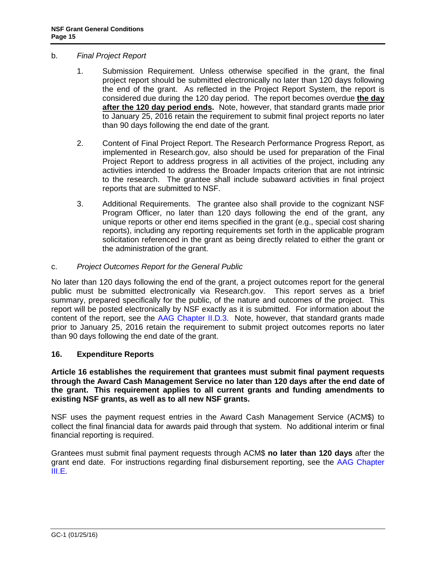### <span id="page-14-0"></span>b. *Final Project Report*

- 1. Submission Requirement. Unless otherwise specified in the grant, the final project report should be submitted electronically no later than 120 days following the end of the grant. As reflected in the Project Report System, the report is considered due during the 120 day period. The report becomes overdue **the day after the 120 day period ends.** Note, however, that standard grants made prior to January 25, 2016 retain the requirement to submit final project reports no later than 90 days following the end date of the grant.
- 2. Content of Final Project Report. The Research Performance Progress Report, as implemented in Research.gov, also should be used for preparation of the Final Project Report to address progress in all activities of the project, including any activities intended to address the Broader Impacts criterion that are not intrinsic to the research. The grantee shall include subaward activities in final project reports that are submitted to NSF.
- 3. Additional Requirements. The grantee also shall provide to the cognizant NSF Program Officer, no later than 120 days following the end of the grant, any unique reports or other end items specified in the grant (e.g., special cost sharing reports), including any reporting requirements set forth in the applicable program solicitation referenced in the grant as being directly related to either the grant or the administration of the grant.

### c. *Project Outcomes Report for the General Public*

No later than 120 days following the end of the grant, a project outcomes report for the general public must be submitted electronically via Research.gov. This report serves as a brief summary, prepared specifically for the public, of the nature and outcomes of the project. This report will be posted electronically by NSF exactly as it is submitted. For information about the content of the report, see the [AAG Chapter II.D.3.](http://www.nsf.gov/pubs/policydocs/pappguide/nsf16001/aag_2.jsp#IID3) Note, however, that standard grants made prior to January 25, 2016 retain the requirement to submit project outcomes reports no later than 90 days following the end date of the grant.

## **16. Expenditure Reports**

**Article 16 establishes the requirement that grantees must submit final payment requests through the Award Cash Management Service no later than 120 days after the end date of the grant. This requirement applies to all current grants and funding amendments to existing NSF grants, as well as to all new NSF grants.**

NSF uses the payment request entries in the Award Cash Management Service (ACM\$) to collect the final financial data for awards paid through that system. No additional interim or final financial reporting is required.

Grantees must submit final payment requests through ACM\$ **no later than 120 days** after the grant end date. For instructions regarding final disbursement reporting, see the [AAG Chapter](http://www.nsf.gov/pubs/policydocs/pappguide/nsf16001/aag_3.jsp#IIIE)  [III.E.](http://www.nsf.gov/pubs/policydocs/pappguide/nsf16001/aag_3.jsp#IIIE)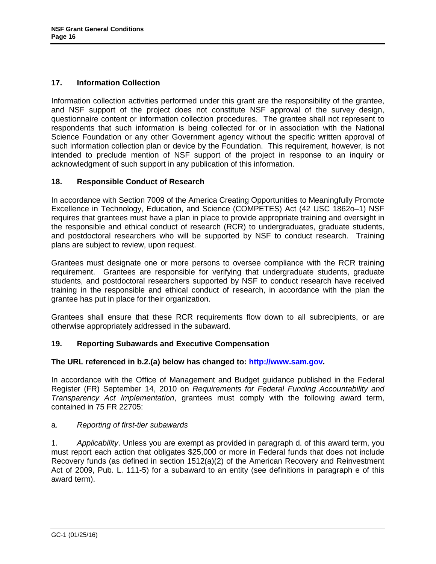## <span id="page-15-0"></span>**17. Information Collection**

Information collection activities performed under this grant are the responsibility of the grantee, and NSF support of the project does not constitute NSF approval of the survey design, questionnaire content or information collection procedures. The grantee shall not represent to respondents that such information is being collected for or in association with the National Science Foundation or any other Government agency without the specific written approval of such information collection plan or device by the Foundation. This requirement, however, is not intended to preclude mention of NSF support of the project in response to an inquiry or acknowledgment of such support in any publication of this information.

## **18. Responsible Conduct of Research**

In accordance with Section 7009 of the America Creating Opportunities to Meaningfully Promote Excellence in Technology, Education, and Science (COMPETES) Act (42 USC 1862o–1) NSF requires that grantees must have a plan in place to provide appropriate training and oversight in the responsible and ethical conduct of research (RCR) to undergraduates, graduate students, and postdoctoral researchers who will be supported by NSF to conduct research. Training plans are subject to review, upon request.

Grantees must designate one or more persons to oversee compliance with the RCR training requirement. Grantees are responsible for verifying that undergraduate students, graduate students, and postdoctoral researchers supported by NSF to conduct research have received training in the responsible and ethical conduct of research, in accordance with the plan the grantee has put in place for their organization.

Grantees shall ensure that these RCR requirements flow down to all subrecipients, or are otherwise appropriately addressed in the subaward.

## **19. Reporting Subawards and Executive Compensation**

#### **The URL referenced in b.2.(a) below has changed to: [http://www.sam.gov.](http://www.sam.gov/)**

In accordance with the Office of Management and Budget guidance published in the Federal Register (FR) September 14, 2010 on *Requirements for Federal Funding Accountability and Transparency Act Implementation*, grantees must comply with the following award term, contained in 75 FR 22705:

#### a. *Reporting of first-tier subawards*

1. *Applicability*. Unless you are exempt as provided in paragraph d. of this award term, you must report each action that obligates \$25,000 or more in Federal funds that does not include Recovery funds (as defined in section 1512(a)(2) of the American Recovery and Reinvestment Act of 2009, Pub. L. 111-5) for a subaward to an entity (see definitions in paragraph e of this award term).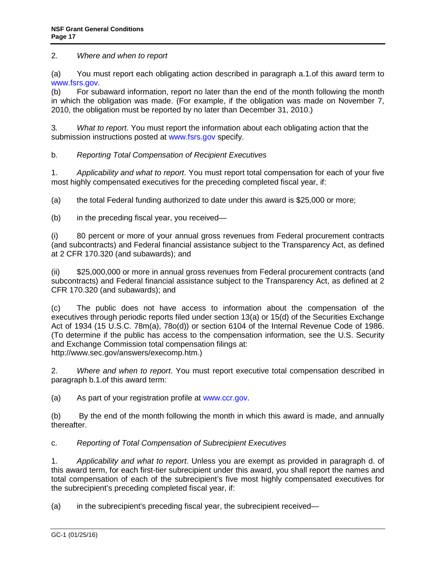2. *Where and when to report*

(a) You must report each obligating action described in paragraph a.1.of this award term to [www.fsrs.gov.](http://www.fsrs.gov/)

(b) For subaward information, report no later than the end of the month following the month in which the obligation was made. (For example, if the obligation was made on November 7, 2010, the obligation must be reported by no later than December 31, 2010.)

3*. What to report*. You must report the information about each obligating action that the submission instructions posted at [www.fsrs.gov](http://www.fsrs.gov/) specify.

b. *Reporting Total Compensation of Recipient Executives*

1. *Applicability and what to report*. You must report total compensation for each of your five most highly compensated executives for the preceding completed fiscal year, if:

(a) the total Federal funding authorized to date under this award is \$25,000 or more;

(b) in the preceding fiscal year, you received—

(i) 80 percent or more of your annual gross revenues from Federal procurement contracts (and subcontracts) and Federal financial assistance subject to the Transparency Act, as defined at 2 CFR 170.320 (and subawards); and

(ii) \$25,000,000 or more in annual gross revenues from Federal procurement contracts (and subcontracts) and Federal financial assistance subject to the Transparency Act, as defined at 2 CFR 170.320 (and subawards); and

(c) The public does not have access to information about the compensation of the executives through periodic reports filed under section 13(a) or 15(d) of the Securities Exchange Act of 1934 (15 U.S.C. 78m(a), 78o(d)) or section 6104 of the Internal Revenue Code of 1986. (To determine if the public has access to the compensation information, see the U.S. Security and Exchange Commission total compensation filings at: http://www.sec.gov/answers/execomp.htm.)

2. *Where and when to report*. You must report executive total compensation described in paragraph b.1.of this award term:

(a) As part of your registration profile at [www.ccr.gov.](http://www.sam.gov/)

(b) By the end of the month following the month in which this award is made, and annually thereafter.

c. *Reporting of Total Compensation of Subrecipient Executives*

1. *Applicability and what to report*. Unless you are exempt as provided in paragraph d. of this award term, for each first-tier subrecipient under this award, you shall report the names and total compensation of each of the subrecipient's five most highly compensated executives for the subrecipient's preceding completed fiscal year, if:

(a) in the subrecipient's preceding fiscal year, the subrecipient received—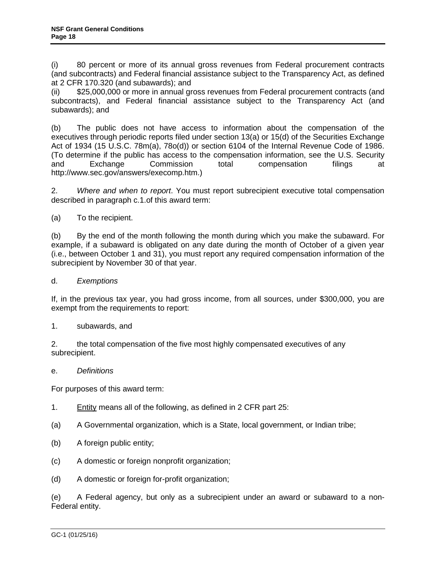(i) 80 percent or more of its annual gross revenues from Federal procurement contracts (and subcontracts) and Federal financial assistance subject to the Transparency Act, as defined at 2 CFR 170.320 (and subawards); and

(ii) \$25,000,000 or more in annual gross revenues from Federal procurement contracts (and subcontracts), and Federal financial assistance subject to the Transparency Act (and subawards); and

(b) The public does not have access to information about the compensation of the executives through periodic reports filed under section 13(a) or 15(d) of the Securities Exchange Act of 1934 (15 U.S.C. 78m(a), 78o(d)) or section 6104 of the Internal Revenue Code of 1986. (To determine if the public has access to the compensation information, see the U.S. Security and Exchange Commission total compensation filings at http://www.sec.gov/answers/execomp.htm.)

2. *Where and when to report*. You must report subrecipient executive total compensation described in paragraph c.1.of this award term:

(a) To the recipient.

(b) By the end of the month following the month during which you make the subaward. For example, if a subaward is obligated on any date during the month of October of a given year (i.e., between October 1 and 31), you must report any required compensation information of the subrecipient by November 30 of that year.

d. *Exemptions*

If, in the previous tax year, you had gross income, from all sources, under \$300,000, you are exempt from the requirements to report:

1. subawards, and

2. the total compensation of the five most highly compensated executives of any subrecipient.

e. *Definitions* 

For purposes of this award term:

- 1. Entity means all of the following, as defined in 2 CFR part 25:
- (a) A Governmental organization, which is a State, local government, or Indian tribe;
- (b) A foreign public entity;
- (c) A domestic or foreign nonprofit organization;
- (d) A domestic or foreign for-profit organization;

(e) A Federal agency, but only as a subrecipient under an award or subaward to a non-Federal entity.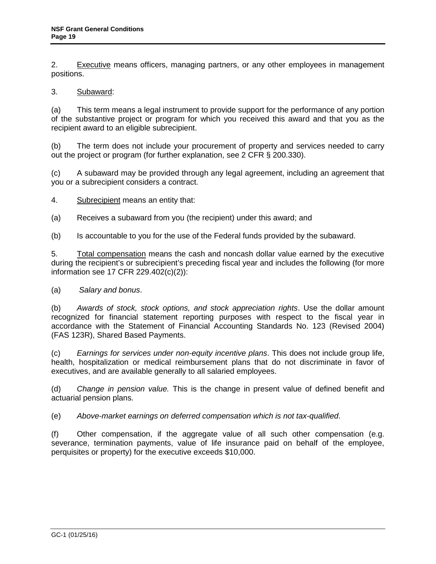2. Executive means officers, managing partners, or any other employees in management positions.

## 3. Subaward:

(a) This term means a legal instrument to provide support for the performance of any portion of the substantive project or program for which you received this award and that you as the recipient award to an eligible subrecipient.

(b) The term does not include your procurement of property and services needed to carry out the project or program (for further explanation, see 2 CFR § 200.330).

(c) A subaward may be provided through any legal agreement, including an agreement that you or a subrecipient considers a contract.

4. Subrecipient means an entity that:

(a) Receives a subaward from you (the recipient) under this award; and

(b) Is accountable to you for the use of the Federal funds provided by the subaward.

5. Total compensation means the cash and noncash dollar value earned by the executive during the recipient's or subrecipient's preceding fiscal year and includes the following (for more information see 17 CFR 229.402(c)(2)):

#### (a) *Salary and bonus*.

(b) *Awards of stock, stock options, and stock appreciation rights*. Use the dollar amount recognized for financial statement reporting purposes with respect to the fiscal year in accordance with the Statement of Financial Accounting Standards No. 123 (Revised 2004) (FAS 123R), Shared Based Payments.

(c) *Earnings for services under non-equity incentive plans*. This does not include group life, health, hospitalization or medical reimbursement plans that do not discriminate in favor of executives, and are available generally to all salaried employees.

(d) *Change in pension value.* This is the change in present value of defined benefit and actuarial pension plans.

(e) *Above-market earnings on deferred compensation which is not tax-qualified*.

(f) Other compensation, if the aggregate value of all such other compensation (e.g. severance, termination payments, value of life insurance paid on behalf of the employee, perquisites or property) for the executive exceeds \$10,000.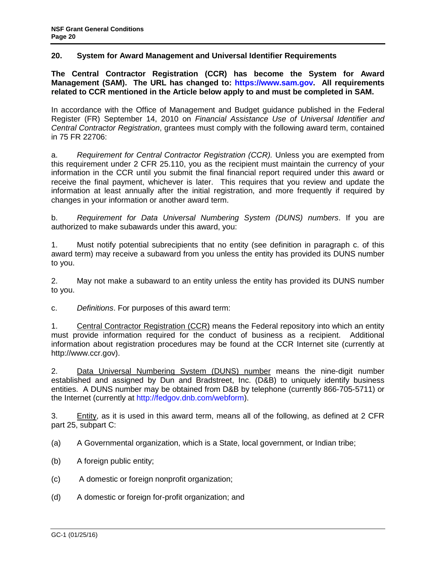## <span id="page-19-0"></span>**20. System for Award Management and Universal Identifier Requirements**

**The Central Contractor Registration (CCR) has become the System for Award Management (SAM). The URL has changed to: [https://www.sam.gov.](https://www.sam.gov/) All requirements related to CCR mentioned in the Article below apply to and must be completed in SAM.** 

In accordance with the Office of Management and Budget guidance published in the Federal Register (FR) September 14, 2010 on *Financial Assistance Use of Universal Identifier and Central Contractor Registration*, grantees must comply with the following award term, contained in 75 FR 22706:

a. *Requirement for Central Contractor Registration (CCR).* Unless you are exempted from this requirement under 2 CFR 25.110, you as the recipient must maintain the currency of your information in the CCR until you submit the final financial report required under this award or receive the final payment, whichever is later. This requires that you review and update the information at least annually after the initial registration, and more frequently if required by changes in your information or another award term.

b. *Requirement for Data Universal Numbering System (DUNS) numbers*. If you are authorized to make subawards under this award, you:

1. Must notify potential subrecipients that no entity (see definition in paragraph c. of this award term) may receive a subaward from you unless the entity has provided its DUNS number to you.

2. May not make a subaward to an entity unless the entity has provided its DUNS number to you.

c. *Definitions*. For purposes of this award term:

1. Central Contractor Registration (CCR) means the Federal repository into which an entity must provide information required for the conduct of business as a recipient. Additional information about registration procedures may be found at the CCR Internet site (currently at http://www.ccr.gov).

2. Data Universal Numbering System (DUNS) number means the nine-digit number established and assigned by Dun and Bradstreet, Inc. (D&B) to uniquely identify business entities. A DUNS number may be obtained from D&B by telephone (currently 866-705-5711) or the Internet (currently at [http://fedgov.dnb.com/webform\)](http://fedgov.dnb.com/webform).

3. Entity, as it is used in this award term, means all of the following, as defined at 2 CFR part 25, subpart C:

(a) A Governmental organization, which is a State, local government, or Indian tribe;

- (b) A foreign public entity;
- (c) A domestic or foreign nonprofit organization;
- (d) A domestic or foreign for-profit organization; and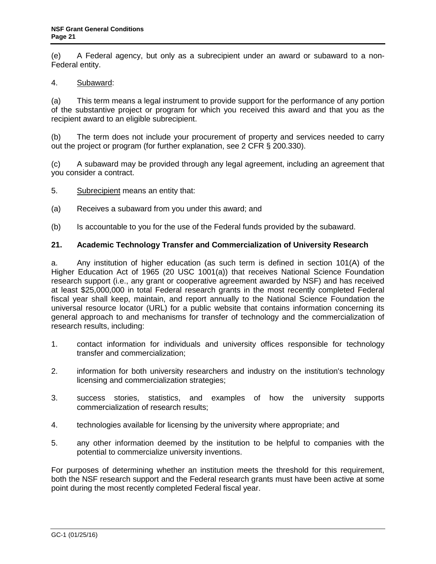<span id="page-20-0"></span>(e) A Federal agency, but only as a subrecipient under an award or subaward to a non-Federal entity.

#### 4. Subaward:

(a) This term means a legal instrument to provide support for the performance of any portion of the substantive project or program for which you received this award and that you as the recipient award to an eligible subrecipient.

(b) The term does not include your procurement of property and services needed to carry out the project or program (for further explanation, see 2 CFR § 200.330).

(c) A subaward may be provided through any legal agreement, including an agreement that you consider a contract.

- 5. Subrecipient means an entity that:
- (a) Receives a subaward from you under this award; and
- (b) Is accountable to you for the use of the Federal funds provided by the subaward.

### **21. Academic Technology Transfer and Commercialization of University Research**

a. Any institution of higher education (as such term is defined in section 101(A) of the Higher Education Act of 1965 (20 USC 1001(a)) that receives National Science Foundation research support (i.e., any grant or cooperative agreement awarded by NSF) and has received at least \$25,000,000 in total Federal research grants in the most recently completed Federal fiscal year shall keep, maintain, and report annually to the National Science Foundation the universal resource locator (URL) for a public website that contains information concerning its general approach to and mechanisms for transfer of technology and the commercialization of research results, including:

- 1. contact information for individuals and university offices responsible for technology transfer and commercialization;
- 2. information for both university researchers and industry on the institution's technology licensing and commercialization strategies;
- 3. success stories, statistics, and examples of how the university supports commercialization of research results;
- 4. technologies available for licensing by the university where appropriate; and
- 5. any other information deemed by the institution to be helpful to companies with the potential to commercialize university inventions.

For purposes of determining whether an institution meets the threshold for this requirement, both the NSF research support and the Federal research grants must have been active at some point during the most recently completed Federal fiscal year.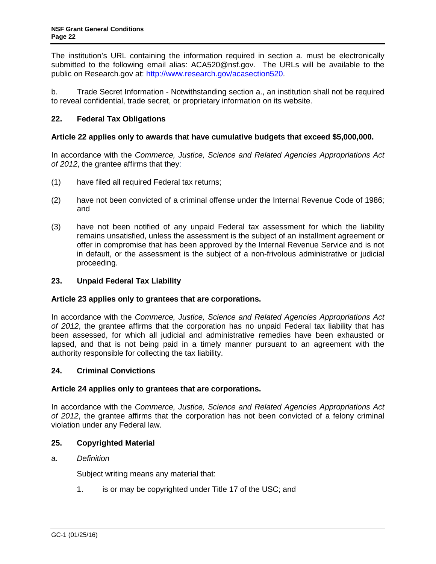<span id="page-21-0"></span>The institution's URL containing the information required in section a. must be electronically submitted to the following email alias: ACA520@nsf.gov. The URLs will be available to the public on Research.gov at: [http://www.research.gov/acasection520.](http://www.research.gov/acasection520)

b. Trade Secret Information - Notwithstanding section a., an institution shall not be required to reveal confidential, trade secret, or proprietary information on its website.

## **22. Federal Tax Obligations**

## **Article 22 applies only to awards that have cumulative budgets that exceed \$5,000,000.**

In accordance with the *Commerce, Justice, Science and Related Agencies Appropriations Act of 2012*, the grantee affirms that they:

- (1) have filed all required Federal tax returns;
- (2) have not been convicted of a criminal offense under the Internal Revenue Code of 1986; and
- (3) have not been notified of any unpaid Federal tax assessment for which the liability remains unsatisfied, unless the assessment is the subject of an installment agreement or offer in compromise that has been approved by the Internal Revenue Service and is not in default, or the assessment is the subject of a non-frivolous administrative or judicial proceeding.

## **23. Unpaid Federal Tax Liability**

#### **Article 23 applies only to grantees that are corporations.**

In accordance with the *Commerce, Justice, Science and Related Agencies Appropriations Act of 2012*, the grantee affirms that the corporation has no unpaid Federal tax liability that has been assessed, for which all judicial and administrative remedies have been exhausted or lapsed, and that is not being paid in a timely manner pursuant to an agreement with the authority responsible for collecting the tax liability.

#### **24. Criminal Convictions**

#### **Article 24 applies only to grantees that are corporations.**

In accordance with the *Commerce, Justice, Science and Related Agencies Appropriations Act of 2012*, the grantee affirms that the corporation has not been convicted of a felony criminal violation under any Federal law.

#### **25. Copyrighted Material**

#### a. *Definition*

Subject writing means any material that:

1. is or may be copyrighted under [Title 17 of the USC;](http://www.access.gpo.gov/uscode/title17/title17.html) and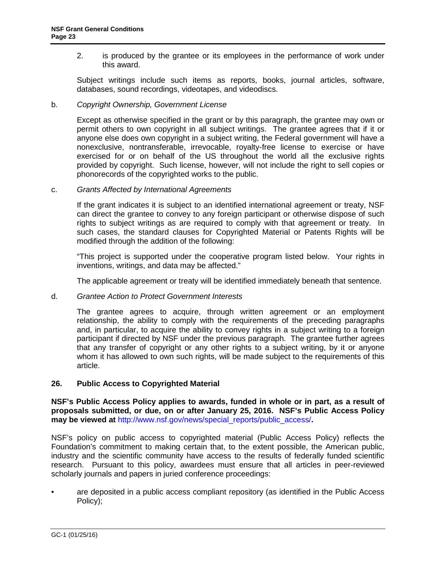<span id="page-22-0"></span>2. is produced by the grantee or its employees in the performance of work under this award.

Subject writings include such items as reports, books, journal articles, software, databases, sound recordings, videotapes, and videodiscs.

#### b. *Copyright Ownership, Government License*

Except as otherwise specified in the grant or by this paragraph, the grantee may own or permit others to own copyright in all subject writings. The grantee agrees that if it or anyone else does own copyright in a subject writing, the Federal government will have a nonexclusive, nontransferable, irrevocable, royalty-free license to exercise or have exercised for or on behalf of the US throughout the world all the exclusive rights provided by copyright. Such license, however, will not include the right to sell copies or phonorecords of the copyrighted works to the public.

c. *Grants Affected by International Agreements*

If the grant indicates it is subject to an identified international agreement or treaty, NSF can direct the grantee to convey to any foreign participant or otherwise dispose of such rights to subject writings as are required to comply with that agreement or treaty. In such cases, the standard clauses for Copyrighted Material or Patents Rights will be modified through the addition of the following:

"This project is supported under the cooperative program listed below. Your rights in inventions, writings, and data may be affected."

The applicable agreement or treaty will be identified immediately beneath that sentence.

#### d. *Grantee Action to Protect Government Interests*

The grantee agrees to acquire, through written agreement or an employment relationship, the ability to comply with the requirements of the preceding paragraphs and, in particular, to acquire the ability to convey rights in a subject writing to a foreign participant if directed by NSF under the previous paragraph. The grantee further agrees that any transfer of copyright or any other rights to a subject writing, by it or anyone whom it has allowed to own such rights, will be made subject to the requirements of this article.

#### **26. Public Access to Copyrighted Material**

**NSF's Public Access Policy applies to awards, funded in whole or in part, as a result of proposals submitted, or due, on or after January 25, 2016. NSF's Public Access Policy may be viewed at** [http://www.nsf.gov/news/special\\_reports/public\\_access/](http://www.nsf.gov/news/special_reports/public_access/)**.**

NSF's policy on public access to copyrighted material (Public Access Policy) reflects the Foundation's commitment to making certain that, to the extent possible, the American public, industry and the scientific community have access to the results of federally funded scientific research. Pursuant to this policy, awardees must ensure that all articles in peer-reviewed scholarly journals and papers in juried conference proceedings:

• are deposited in a public access compliant repository (as identified in the Public Access Policy);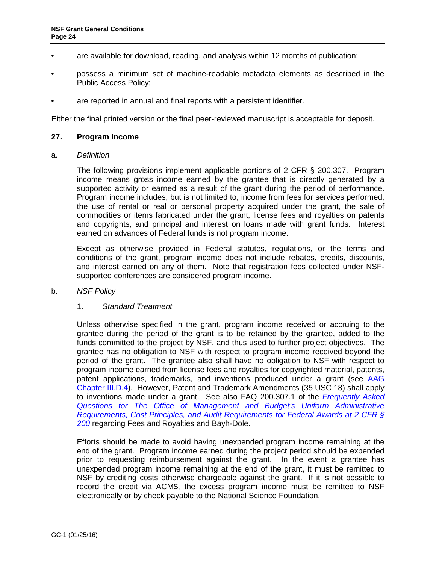- <span id="page-23-0"></span>• are available for download, reading, and analysis within 12 months of publication;
- possess a minimum set of machine-readable metadata elements as described in the Public Access Policy;
- are reported in annual and final reports with a persistent identifier.

Either the final printed version or the final peer-reviewed manuscript is acceptable for deposit.

#### **27. Program Income**

a. *Definition*

The following provisions implement applicable portions of 2 CFR § 200.307. Program income means gross income earned by the grantee that is directly generated by a supported activity or earned as a result of the grant during the period of performance. Program income includes, but is not limited to, income from fees for services performed, the use of rental or real or personal property acquired under the grant, the sale of commodities or items fabricated under the grant, license fees and royalties on patents and copyrights, and principal and interest on loans made with grant funds. Interest earned on advances of Federal funds is not program income.

Except as otherwise provided in Federal statutes, regulations, or the terms and conditions of the grant, program income does not include rebates, credits, discounts, and interest earned on any of them. Note that registration fees collected under NSFsupported conferences are considered program income.

#### b. *NSF Policy*

#### 1. *Standard Treatment*

Unless otherwise specified in the grant, program income received or accruing to the grantee during the period of the grant is to be retained by the grantee, added to the funds committed to the project by NSF, and thus used to further project objectives. The grantee has no obligation to NSF with respect to program income received beyond the period of the grant. The grantee also shall have no obligation to NSF with respect to program income earned from license fees and royalties for copyrighted material, patents, patent applications, trademarks, and inventions produced under a grant (see [AAG](http://www.nsf.gov/pubs/policydocs/pappguide/nsf16001/aag_3.jsp#IIID4)  [Chapter III.D.4\)](http://www.nsf.gov/pubs/policydocs/pappguide/nsf16001/aag_3.jsp#IIID4). However, Patent and Trademark Amendments (35 USC 18) shall apply to inventions made under a grant. See also FAQ 200.307.1 of the *[Frequently Asked](https://cfo.gov/wp-content/uploads/2015/09/9.9.15-Frequently-Asked-Questions.pdf)  [Questions for The Office of Management and Budget's Uniform Administrative](https://cfo.gov/wp-content/uploads/2015/09/9.9.15-Frequently-Asked-Questions.pdf)  [Requirements, Cost Principles, and Audit Requirements](https://cfo.gov/wp-content/uploads/2015/09/9.9.15-Frequently-Asked-Questions.pdf) for Federal Awards at 2 CFR § [200](https://cfo.gov/wp-content/uploads/2015/09/9.9.15-Frequently-Asked-Questions.pdf)* regarding Fees and Royalties and Bayh-Dole.

Efforts should be made to avoid having unexpended program income remaining at the end of the grant. Program income earned during the project period should be expended prior to requesting reimbursement against the grant. In the event a grantee has unexpended program income remaining at the end of the grant, it must be remitted to NSF by crediting costs otherwise chargeable against the grant. If it is not possible to record the credit via ACM\$, the excess program income must be remitted to NSF electronically or by check payable to the National Science Foundation.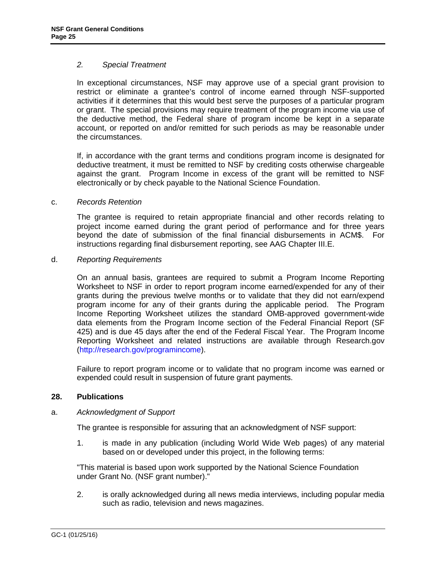#### <span id="page-24-0"></span>*2. Special Treatment*

In exceptional circumstances, NSF may approve use of a special grant provision to restrict or eliminate a grantee's control of income earned through NSF-supported activities if it determines that this would best serve the purposes of a particular program or grant. The special provisions may require treatment of the program income via use of the deductive method, the Federal share of program income be kept in a separate account, or reported on and/or remitted for such periods as may be reasonable under the circumstances.

If, in accordance with the grant terms and conditions program income is designated for deductive treatment, it must be remitted to NSF by crediting costs otherwise chargeable against the grant. Program Income in excess of the grant will be remitted to NSF electronically or by check payable to the National Science Foundation.

#### c. *Records Retention*

The grantee is required to retain appropriate financial and other records relating to project income earned during the grant period of performance and for three years beyond the date of submission of the final financial disbursements in ACM\$. For instructions regarding final disbursement reporting, see AAG Chapter III.E.

### d. *Reporting Requirements*

On an annual basis, grantees are required to submit a Program Income Reporting Worksheet to NSF in order to report program income earned/expended for any of their grants during the previous twelve months or to validate that they did not earn/expend program income for any of their grants during the applicable period. The Program Income Reporting Worksheet utilizes the standard OMB-approved government-wide data elements from the Program Income section of the Federal Financial Report (SF 425) and is due 45 days after the end of the Federal Fiscal Year. The Program Income Reporting Worksheet and related instructions are available through Research.gov [\(http://research.gov/programincome\)](http://research.gov/programincome).

Failure to report program income or to validate that no program income was earned or expended could result in suspension of future grant payments.

## **28. Publications**

#### a. *Acknowledgment of Support*

The grantee is responsible for assuring that an acknowledgment of NSF support:

1. is made in any publication (including World Wide Web pages) of any material based on or developed under this project, in the following terms:

"This material is based upon work supported by the National Science Foundation under Grant No. (NSF grant number)."

2. is orally acknowledged during all news media interviews, including popular media such as radio, television and news magazines.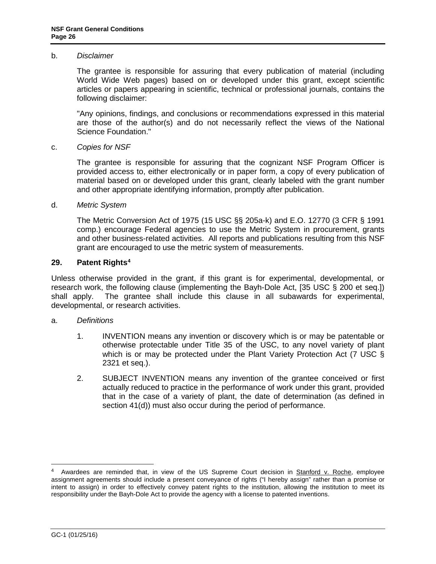#### <span id="page-25-0"></span>b. *Disclaimer*

The grantee is responsible for assuring that every publication of material (including World Wide Web pages) based on or developed under this grant, except scientific articles or papers appearing in scientific, technical or professional journals, contains the following disclaimer:

"Any opinions, findings, and conclusions or recommendations expressed in this material are those of the author(s) and do not necessarily reflect the views of the National Science Foundation."

#### c. *Copies for NSF*

The grantee is responsible for assuring that the cognizant NSF Program Officer is provided access to, either electronically or in paper form, a copy of every publication of material based on or developed under this grant, clearly labeled with the grant number and other appropriate identifying information, promptly after publication.

#### d. *Metric System*

The Metric Conversion Act of 1975 (15 USC §§ 205a-k) and E.O. 12770 (3 CFR § 1991 comp.) encourage Federal agencies to use the Metric System in procurement, grants and other business-related activities. All reports and publications resulting from this NSF grant are encouraged to use the metric system of measurements.

#### **29. Patent Right[s4](#page-25-1)**

Unless otherwise provided in the grant, if this grant is for experimental, developmental, or research work, the following clause (implementing the Bayh-Dole Act, [\[35 USC § 200 et seq.](http://uscode.house.gov/download/pls/35T.txt)]) shall apply. The grantee shall include this clause in all subawards for experimental, developmental, or research activities.

#### a. *Definitions*

- 1. INVENTION means any invention or discovery which is or may be patentable or otherwise protectable under Title 35 of the USC, to any novel variety of plant which is or may be protected under the Plant Variety Protection Act (7 USC § [2321 et seq.](http://www.access.gpo.gov/uscode/title7/chapter57_.html)).
- 2. SUBJECT INVENTION means any invention of the grantee conceived or first actually reduced to practice in the performance of work under this grant, provided that in the case of a variety of plant, the date of determination (as defined in section 41(d)) must also occur during the period of performance.

<span id="page-25-1"></span> <sup>4</sup> Awardees are reminded that, in view of the US Supreme Court decision in Stanford v. Roche, employee assignment agreements should include a present conveyance of rights ("I hereby assign" rather than a promise or intent to assign) in order to effectively convey patent rights to the institution, allowing the institution to meet its responsibility under the Bayh-Dole Act to provide the agency with a license to patented inventions.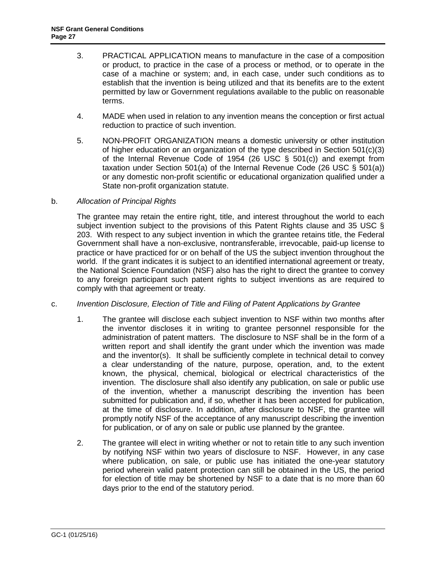- 3. PRACTICAL APPLICATION means to manufacture in the case of a composition or product, to practice in the case of a process or method, or to operate in the case of a machine or system; and, in each case, under such conditions as to establish that the invention is being utilized and that its benefits are to the extent permitted by law or Government regulations available to the public on reasonable terms.
- 4. MADE when used in relation to any invention means the conception or first actual reduction to practice of such invention.
- 5. NON-PROFIT ORGANIZATION means a domestic university or other institution of higher education or an organization of the type described in Section 501(c)(3) of the Internal Revenue Code of 1954 [\(26 USC § 501\(c\)\)](http://frwebgate.access.gpo.gov/cgi-bin/getdoc.cgi?dbname=browse_usc&docid=Cite:+26USC501) and exempt from taxation under Section 501(a) of the Internal Revenue Code [\(26 USC § 501\(a\)\)](http://frwebgate.access.gpo.gov/cgi-bin/getdoc.cgi?dbname=browse_usc&docid=Cite:+26USC501) or any domestic non-profit scientific or educational organization qualified under a State non-profit organization statute.

### b. *Allocation of Principal Rights*

The grantee may retain the entire right, title, and interest throughout the world to each subject invention subject to the provisions of this Patent Rights clause and 35 USC § [203.](http://frwebgate.access.gpo.gov/cgi-bin/getdoc.cgi?dbname=browse_usc&docid=Cite:+35USC203) With respect to any subject invention in which the grantee retains title, the Federal Government shall have a non-exclusive, nontransferable, irrevocable, paid-up license to practice or have practiced for or on behalf of the US the subject invention throughout the world. If the grant indicates it is subject to an identified international agreement or treaty, the National Science Foundation (NSF) also has the right to direct the grantee to convey to any foreign participant such patent rights to subject inventions as are required to comply with that agreement or treaty.

#### c. *Invention Disclosure, Election of Title and Filing of Patent Applications by Grantee*

- 1. The grantee will disclose each subject invention to NSF within two months after the inventor discloses it in writing to grantee personnel responsible for the administration of patent matters. The disclosure to NSF shall be in the form of a written report and shall identify the grant under which the invention was made and the inventor(s). It shall be sufficiently complete in technical detail to convey a clear understanding of the nature, purpose, operation, and, to the extent known, the physical, chemical, biological or electrical characteristics of the invention. The disclosure shall also identify any publication, on sale or public use of the invention, whether a manuscript describing the invention has been submitted for publication and, if so, whether it has been accepted for publication, at the time of disclosure. In addition, after disclosure to NSF, the grantee will promptly notify NSF of the acceptance of any manuscript describing the invention for publication, or of any on sale or public use planned by the grantee.
- 2. The grantee will elect in writing whether or not to retain title to any such invention by notifying NSF within two years of disclosure to NSF. However, in any case where publication, on sale, or public use has initiated the one-year statutory period wherein valid patent protection can still be obtained in the US, the period for election of title may be shortened by NSF to a date that is no more than 60 days prior to the end of the statutory period.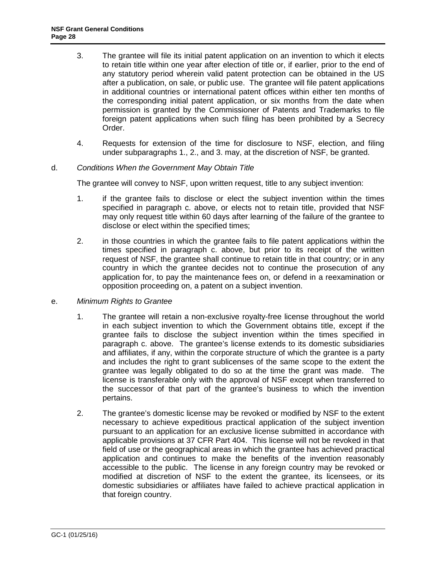- 3. The grantee will file its initial patent application on an invention to which it elects to retain title within one year after election of title or, if earlier, prior to the end of any statutory period wherein valid patent protection can be obtained in the US after a publication, on sale, or public use. The grantee will file patent applications in additional countries or international patent offices within either ten months of the corresponding initial patent application, or six months from the date when permission is granted by the Commissioner of Patents and Trademarks to file foreign patent applications when such filing has been prohibited by a Secrecy Order.
- 4. Requests for extension of the time for disclosure to NSF, election, and filing under subparagraphs 1., 2., and 3. may, at the discretion of NSF, be granted.

#### d. *Conditions When the Government May Obtain Title*

The grantee will convey to NSF, upon written request, title to any subject invention:

- 1. if the grantee fails to disclose or elect the subject invention within the times specified in paragraph c. above, or elects not to retain title, provided that NSF may only request title within 60 days after learning of the failure of the grantee to disclose or elect within the specified times;
- 2. in those countries in which the grantee fails to file patent applications within the times specified in paragraph c. above, but prior to its receipt of the written request of NSF, the grantee shall continue to retain title in that country; or in any country in which the grantee decides not to continue the prosecution of any application for, to pay the maintenance fees on, or defend in a reexamination or opposition proceeding on, a patent on a subject invention.
- e. *Minimum Rights to Grantee*
	- 1. The grantee will retain a non-exclusive royalty-free license throughout the world in each subject invention to which the Government obtains title, except if the grantee fails to disclose the subject invention within the times specified in paragraph c. above. The grantee's license extends to its domestic subsidiaries and affiliates, if any, within the corporate structure of which the grantee is a party and includes the right to grant sublicenses of the same scope to the extent the grantee was legally obligated to do so at the time the grant was made. The license is transferable only with the approval of NSF except when transferred to the successor of that part of the grantee's business to which the invention pertains.
	- 2. The grantee's domestic license may be revoked or modified by NSF to the extent necessary to achieve expeditious practical application of the subject invention pursuant to an application for an exclusive license submitted in accordance with applicable provisions at [37 CFR Part 404.](http://www.access.gpo.gov/nara/cfr/waisidx_06/37cfr404_06.html) This license will not be revoked in that field of use or the geographical areas in which the grantee has achieved practical application and continues to make the benefits of the invention reasonably accessible to the public. The license in any foreign country may be revoked or modified at discretion of NSF to the extent the grantee, its licensees, or its domestic subsidiaries or affiliates have failed to achieve practical application in that foreign country.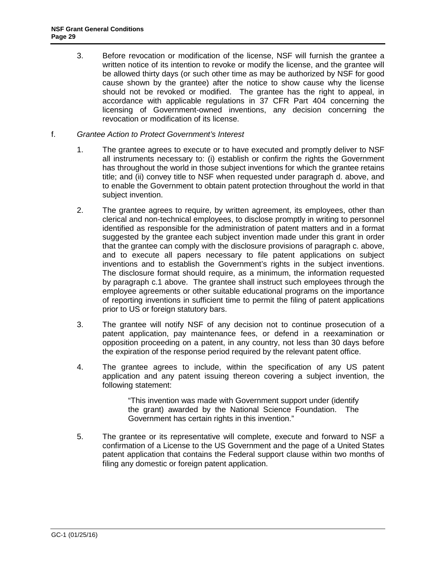- 3. Before revocation or modification of the license, NSF will furnish the grantee a written notice of its intention to revoke or modify the license, and the grantee will be allowed thirty days (or such other time as may be authorized by NSF for good cause shown by the grantee) after the notice to show cause why the license should not be revoked or modified. The grantee has the right to appeal, in accordance with applicable regulations in [37 CFR Part 404](http://www.access.gpo.gov/nara/cfr/waisidx_06/37cfr404_06.html) concerning the licensing of Government-owned inventions, any decision concerning the revocation or modification of its license.
- f. *Grantee Action to Protect Government's Interest*
	- 1. The grantee agrees to execute or to have executed and promptly deliver to NSF all instruments necessary to: (i) establish or confirm the rights the Government has throughout the world in those subject inventions for which the grantee retains title; and (ii) convey title to NSF when requested under paragraph d. above, and to enable the Government to obtain patent protection throughout the world in that subject invention.
	- 2. The grantee agrees to require, by written agreement, its employees, other than clerical and non-technical employees, to disclose promptly in writing to personnel identified as responsible for the administration of patent matters and in a format suggested by the grantee each subject invention made under this grant in order that the grantee can comply with the disclosure provisions of paragraph c. above, and to execute all papers necessary to file patent applications on subject inventions and to establish the Government's rights in the subject inventions. The disclosure format should require, as a minimum, the information requested by paragraph c.1 above. The grantee shall instruct such employees through the employee agreements or other suitable educational programs on the importance of reporting inventions in sufficient time to permit the filing of patent applications prior to US or foreign statutory bars.
	- 3. The grantee will notify NSF of any decision not to continue prosecution of a patent application, pay maintenance fees, or defend in a reexamination or opposition proceeding on a patent, in any country, not less than 30 days before the expiration of the response period required by the relevant patent office.
	- 4. The grantee agrees to include, within the specification of any US patent application and any patent issuing thereon covering a subject invention, the following statement:

"This invention was made with Government support under (identify the grant) awarded by the National Science Foundation. The Government has certain rights in this invention."

5. The grantee or its representative will complete, execute and forward to NSF a confirmation of a License to the US Government and the page of a United States patent application that contains the Federal support clause within two months of filing any domestic or foreign patent application.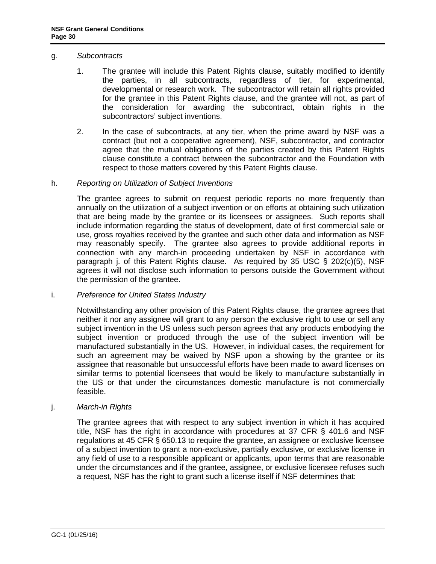#### g. *Subcontracts*

- 1. The grantee will include this Patent Rights clause, suitably modified to identify the parties, in all subcontracts, regardless of tier, for experimental, developmental or research work. The subcontractor will retain all rights provided for the grantee in this Patent Rights clause, and the grantee will not, as part of the consideration for awarding the subcontract, obtain rights in the subcontractors' subject inventions.
- 2. In the case of subcontracts, at any tier, when the prime award by NSF was a contract (but not a cooperative agreement), NSF, subcontractor, and contractor agree that the mutual obligations of the parties created by this Patent Rights clause constitute a contract between the subcontractor and the Foundation with respect to those matters covered by this Patent Rights clause.

#### h. *Reporting on Utilization of Subject Inventions*

The grantee agrees to submit on request periodic reports no more frequently than annually on the utilization of a subject invention or on efforts at obtaining such utilization that are being made by the grantee or its licensees or assignees. Such reports shall include information regarding the status of development, date of first commercial sale or use, gross royalties received by the grantee and such other data and information as NSF may reasonably specify. The grantee also agrees to provide additional reports in connection with any march-in proceeding undertaken by NSF in accordance with paragraph j. of this Patent Rights clause. As required by 35 USC  $\S$  202(c)(5), NSF agrees it will not disclose such information to persons outside the Government without the permission of the grantee.

#### i. *Preference for United States Industry*

Notwithstanding any other provision of this Patent Rights clause, the grantee agrees that neither it nor any assignee will grant to any person the exclusive right to use or sell any subject invention in the US unless such person agrees that any products embodying the subject invention or produced through the use of the subject invention will be manufactured substantially in the US. However, in individual cases, the requirement for such an agreement may be waived by NSF upon a showing by the grantee or its assignee that reasonable but unsuccessful efforts have been made to award licenses on similar terms to potential licensees that would be likely to manufacture substantially in the US or that under the circumstances domestic manufacture is not commercially feasible.

#### j. *March-in Rights*

The grantee agrees that with respect to any subject invention in which it has acquired title, NSF has the right in accordance with procedures at [37 CFR § 401.6](http://a257.g.akamaitech.net/7/257/2422/13nov20061500/edocket.access.gpo.gov/cfr_2006/julqtr/pdf/37cfr401.6.pdf) and NSF regulations at [45 CFR § 650.13](http://a257.g.akamaitech.net/7/257/2422/13nov20061500/edocket.access.gpo.gov/cfr_2006/octqtr/pdf/45cfr650.13.pdf) to require the grantee, an assignee or exclusive licensee of a subject invention to grant a non-exclusive, partially exclusive, or exclusive license in any field of use to a responsible applicant or applicants, upon terms that are reasonable under the circumstances and if the grantee, assignee, or exclusive licensee refuses such a request, NSF has the right to grant such a license itself if NSF determines that: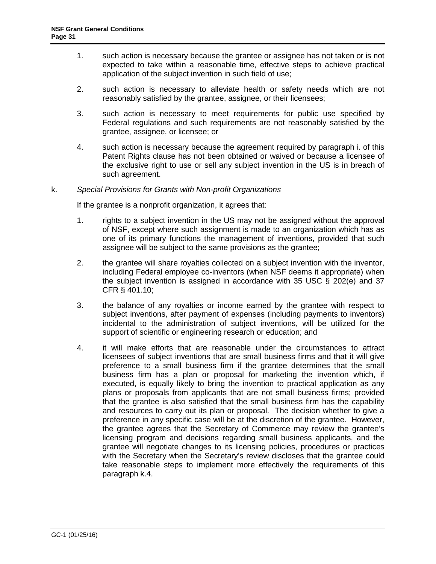- 1. such action is necessary because the grantee or assignee has not taken or is not expected to take within a reasonable time, effective steps to achieve practical application of the subject invention in such field of use;
- 2. such action is necessary to alleviate health or safety needs which are not reasonably satisfied by the grantee, assignee, or their licensees;
- 3. such action is necessary to meet requirements for public use specified by Federal regulations and such requirements are not reasonably satisfied by the grantee, assignee, or licensee; or
- 4. such action is necessary because the agreement required by paragraph i. of this Patent Rights clause has not been obtained or waived or because a licensee of the exclusive right to use or sell any subject invention in the US is in breach of such agreement.

### k. *Special Provisions for Grants with Non-profit Organizations*

If the grantee is a nonprofit organization, it agrees that:

- 1. rights to a subject invention in the US may not be assigned without the approval of NSF, except where such assignment is made to an organization which has as one of its primary functions the management of inventions, provided that such assignee will be subject to the same provisions as the grantee;
- 2. the grantee will share royalties collected on a subject invention with the inventor, including Federal employee co-inventors (when NSF deems it appropriate) when the subject invention is assigned in accordance with [35 USC § 202\(e\)](http://frwebgate.access.gpo.gov/cgi-bin/getdoc.cgi?dbname=browse_usc&docid=Cite:+35USC202) and [37](http://a257.g.akamaitech.net/7/257/2422/13nov20061500/edocket.access.gpo.gov/cfr_2006/julqtr/pdf/37cfr401.10.pdf)  [CFR § 401.10;](http://a257.g.akamaitech.net/7/257/2422/13nov20061500/edocket.access.gpo.gov/cfr_2006/julqtr/pdf/37cfr401.10.pdf)
- 3. the balance of any royalties or income earned by the grantee with respect to subject inventions, after payment of expenses (including payments to inventors) incidental to the administration of subject inventions, will be utilized for the support of scientific or engineering research or education; and
- 4. it will make efforts that are reasonable under the circumstances to attract licensees of subject inventions that are small business firms and that it will give preference to a small business firm if the grantee determines that the small business firm has a plan or proposal for marketing the invention which, if executed, is equally likely to bring the invention to practical application as any plans or proposals from applicants that are not small business firms; provided that the grantee is also satisfied that the small business firm has the capability and resources to carry out its plan or proposal. The decision whether to give a preference in any specific case will be at the discretion of the grantee. However, the grantee agrees that the Secretary of Commerce may review the grantee's licensing program and decisions regarding small business applicants, and the grantee will negotiate changes to its licensing policies, procedures or practices with the Secretary when the Secretary's review discloses that the grantee could take reasonable steps to implement more effectively the requirements of this paragraph k.4.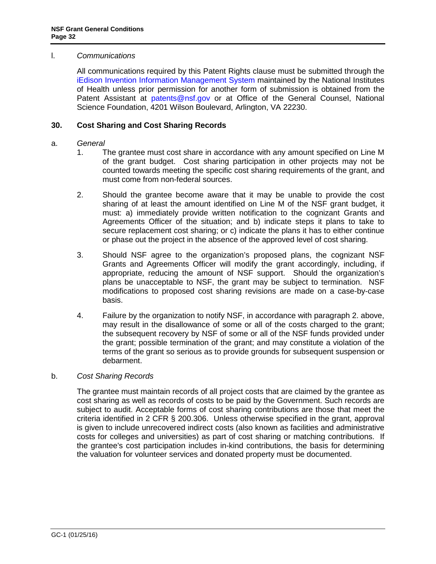#### <span id="page-31-0"></span>l. *Communications*

All communications required by this Patent Rights clause must be submitted through the [iEdison Invention Information Management System](https://public.era.nih.gov/iedison/public/login.do?TYPE=33554433&REALMOID=06-dc4d00e8-1464-45e1-937f-0525407c30fd&GUID=&SMAUTHREASON=0&METHOD=GET&SMAGENTNAME=-SM-938PYmoLVb4VrDeXo04LZUDVDvc%2b3899ByInEAjuSUvWNIGfB2zRpWiCivYGCogG&TARGET=-SM-http%3a%2f%2fpublic%2eera%2enih%2egov%2fiEdison) maintained by the National Institutes of Health unless prior permission for another form of submission is obtained from the Patent Assistant at [patents@nsf.gov](mailto:patents@nsf.gov) or at Office of the General Counsel, National Science Foundation, 4201 Wilson Boulevard, Arlington, VA 22230.

### <span id="page-31-1"></span>**30. Cost Sharing and Cost Sharing Records**

#### a. *General*

- 1. The grantee must cost share in accordance with any amount specified on Line M of the grant budget. Cost sharing participation in other projects may not be counted towards meeting the specific cost sharing requirements of the grant, and must come from non-federal sources.
- 2. Should the grantee become aware that it may be unable to provide the cost sharing of at least the amount identified on Line M of the NSF grant budget, it must: a) immediately provide written notification to the cognizant Grants and Agreements Officer of the situation; and b) indicate steps it plans to take to secure replacement cost sharing; or c) indicate the plans it has to either continue or phase out the project in the absence of the approved level of cost sharing.
- 3. Should NSF agree to the organization's proposed plans, the cognizant NSF Grants and Agreements Officer will modify the grant accordingly, including, if appropriate, reducing the amount of NSF support. Should the organization's plans be unacceptable to NSF, the grant may be subject to termination. NSF modifications to proposed cost sharing revisions are made on a case-by-case basis.
- 4. Failure by the organization to notify NSF, in accordance with paragraph 2. above, may result in the disallowance of some or all of the costs charged to the grant; the subsequent recovery by NSF of some or all of the NSF funds provided under the grant; possible termination of the grant; and may constitute a violation of the terms of the grant so serious as to provide grounds for subsequent suspension or debarment.

#### b. *Cost Sharing Records*

The grantee must maintain records of all project costs that are claimed by the grantee as cost sharing as well as records of costs to be paid by the Government. Such records are subject to audit. Acceptable forms of cost sharing contributions are those that meet the criteria identified in [2 CFR § 200.3](http://a257.g.akamaitech.net/7/257/2422/15mar20071500/edocket.access.gpo.gov/cfr_2007/janqtr/pdf/2cfr215.23.pdf)06. Unless otherwise specified in the grant, approval is given to include unrecovered indirect costs (also known as facilities and administrative costs for colleges and universities) as part of cost sharing or matching contributions. If the grantee's cost participation includes in-kind contributions, the basis for determining the valuation for volunteer services and donated property must be documented.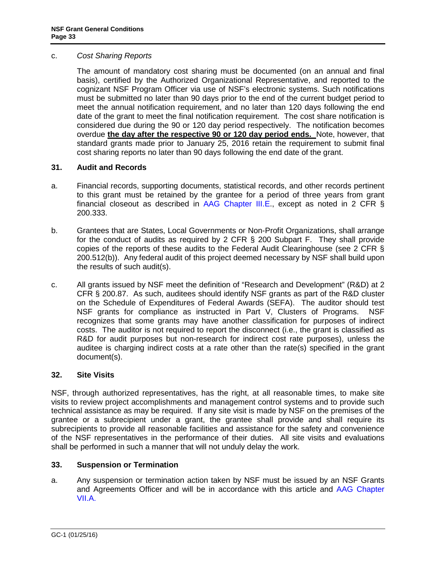#### <span id="page-32-0"></span>c. *Cost Sharing Reports*

The amount of mandatory cost sharing must be documented (on an annual and final basis), certified by the Authorized Organizational Representative, and reported to the cognizant NSF Program Officer via use of NSF's electronic systems. Such notifications must be submitted no later than 90 days prior to the end of the current budget period to meet the annual notification requirement, and no later than 120 days following the end date of the grant to meet the final notification requirement. The cost share notification is considered due during the 90 or 120 day period respectively. The notification becomes overdue **the day after the respective 90 or 120 day period ends.** Note, however, that standard grants made prior to January 25, 2016 retain the requirement to submit final cost sharing reports no later than 90 days following the end date of the grant.

### **31. Audit and Records**

- a. Financial records, supporting documents, statistical records, and other records pertinent to this grant must be retained by the grantee for a period of three years from grant financial closeout as described in [AAG Chapter III.E.](http://www.nsf.gov/pubs/policydocs/pappguide/nsf16001/aag_3.jsp#IIIE), except as noted in 2 CFR  $\S$ 200.333.
- b. Grantees that are States, Local Governments or Non-Profit Organizations, shall arrange for the conduct of audits as required by 2 CFR § 200 Subpart F. They shall provide copies of the reports of these audits to the Federal Audit Clearinghouse (see 2 CFR § 200.512(b)). Any federal audit of this project deemed necessary by NSF shall build upon the results of such audit(s).
- c. All grants issued by NSF meet the definition of "Research and Development" (R&D) at 2 CFR § 200.87. As such, auditees should identify NSF grants as part of the R&D cluster on the Schedule of Expenditures of Federal Awards (SEFA). The auditor should test NSF grants for compliance as instructed in Part V, Clusters of Programs. NSF recognizes that some grants may have another classification for purposes of indirect costs. The auditor is not required to report the disconnect (i.e., the grant is classified as R&D for audit purposes but non-research for indirect cost rate purposes), unless the auditee is charging indirect costs at a rate other than the rate(s) specified in the grant document(s).

#### **32. Site Visits**

NSF, through authorized representatives, has the right, at all reasonable times, to make site visits to review project accomplishments and management control systems and to provide such technical assistance as may be required. If any site visit is made by NSF on the premises of the grantee or a subrecipient under a grant, the grantee shall provide and shall require its subrecipients to provide all reasonable facilities and assistance for the safety and convenience of the NSF representatives in the performance of their duties. All site visits and evaluations shall be performed in such a manner that will not unduly delay the work.

#### **33. Suspension or Termination**

a. Any suspension or termination action taken by NSF must be issued by an NSF Grants and Agreements Officer and will be in accordance with this article and [AAG Chapter](http://www.nsf.gov/pubs/policydocs/pappguide/nsf16001/aag_7.jsp#VIIA)  [VII.A.](http://www.nsf.gov/pubs/policydocs/pappguide/nsf16001/aag_7.jsp#VIIA)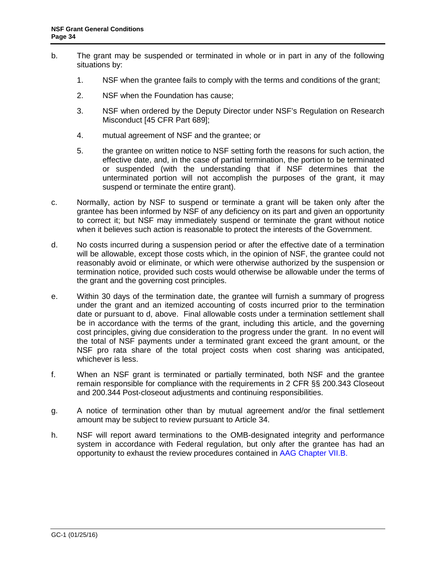- b. The grant may be suspended or terminated in whole or in part in any of the following situations by:
	- 1. NSF when the grantee fails to comply with the terms and conditions of the grant;
	- 2. NSF when the Foundation has cause;
	- 3. NSF when ordered by the Deputy Director under NSF's Regulation on Research Misconduct [\[45 CFR Part 689\]](http://www.access.gpo.gov/nara/cfr/waisidx_06/45cfr689_06.html);
	- 4. mutual agreement of NSF and the grantee; or
	- 5. the grantee on written notice to NSF setting forth the reasons for such action, the effective date, and, in the case of partial termination, the portion to be terminated or suspended (with the understanding that if NSF determines that the unterminated portion will not accomplish the purposes of the grant, it may suspend or terminate the entire grant).
- c. Normally, action by NSF to suspend or terminate a grant will be taken only after the grantee has been informed by NSF of any deficiency on its part and given an opportunity to correct it; but NSF may immediately suspend or terminate the grant without notice when it believes such action is reasonable to protect the interests of the Government.
- d. No costs incurred during a suspension period or after the effective date of a termination will be allowable, except those costs which, in the opinion of NSF, the grantee could not reasonably avoid or eliminate, or which were otherwise authorized by the suspension or termination notice, provided such costs would otherwise be allowable under the terms of the grant and the governing cost principles.
- e. Within 30 days of the termination date, the grantee will furnish a summary of progress under the grant and an itemized accounting of costs incurred prior to the termination date or pursuant to d, above. Final allowable costs under a termination settlement shall be in accordance with the terms of the grant, including this article, and the governing cost principles, giving due consideration to the progress under the grant. In no event will the total of NSF payments under a terminated grant exceed the grant amount, or the NSF pro rata share of the total project costs when cost sharing was anticipated, whichever is less.
- f. When an NSF grant is terminated or partially terminated, both NSF and the grantee remain responsible for compliance with the requirements in 2 CFR §§ 200.343 Closeout and 200.344 Post-closeout adjustments and continuing responsibilities.
- g. A notice of termination other than by mutual agreement and/or the final settlement amount may be subject to review pursuant to [Article 3](#page-33-0)4.
- <span id="page-33-0"></span>h. NSF will report award terminations to the OMB-designated integrity and performance system in accordance with Federal regulation, but only after the grantee has had an opportunity to exhaust the review procedures contained in [AAG Chapter VII.B.](http://www.nsf.gov/pubs/policydocs/pappguide/nsf16001/aag_7.jsp#VIIB)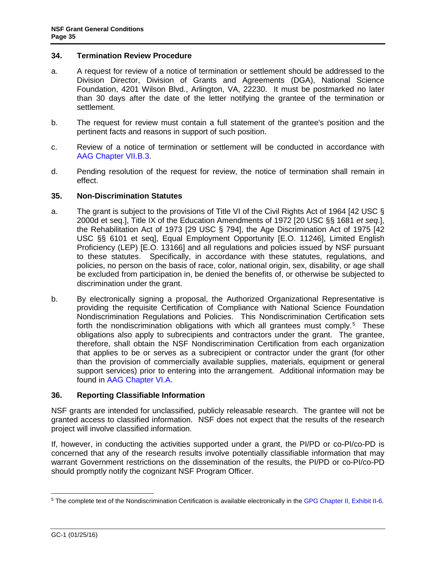#### <span id="page-34-0"></span>**34. Termination Review Procedure**

- a. A request for review of a notice of termination or settlement should be addressed to the Division Director, Division of Grants and Agreements (DGA), National Science Foundation, 4201 Wilson Blvd., Arlington, VA, 22230. It must be postmarked no later than 30 days after the date of the letter notifying the grantee of the termination or settlement.
- b. The request for review must contain a full statement of the grantee's position and the pertinent facts and reasons in support of such position.
- c. Review of a notice of termination or settlement will be conducted in accordance with [AAG Chapter VII.B.3.](http://www.nsf.gov/pubs/policydocs/pappguide/nsf16001/aag_7.jsp#VIIB3)
- d. Pending resolution of the request for review, the notice of termination shall remain in effect.

#### **35. Non-Discrimination Statutes**

- a. The grant is subject to the provisions of Title VI of the Civil Rights Act of 1964 [\[42 USC §](http://frwebgate.access.gpo.gov/cgi-bin/getdoc.cgi?dbname=browse_usc&docid=Cite:+42USC2000d)  [2000d](http://frwebgate.access.gpo.gov/cgi-bin/getdoc.cgi?dbname=browse_usc&docid=Cite:+42USC2000d) et seq.], Title IX of the Education Amendments of 1972 [20 USC §§ 1681 *et seq*.], the Rehabilitation Act of 1973 [\[29 USC § 794\]](http://frwebgate.access.gpo.gov/cgi-bin/getdoc.cgi?dbname=browse_usc&docid=Cite:+29USC794), the Age Discrimination Act of 1975 [\[42](http://www.access.gpo.gov/uscode/title42/chapter76_.html)  [USC §§ 6101 et seq\]](http://www.access.gpo.gov/uscode/title42/chapter76_.html), Equal Employment Opportunity [E.O. 11246], Limited English Proficiency (LEP) [E.O. 13166] and all regulations and policies issued by NSF pursuant to these statutes. Specifically, in accordance with these statutes, regulations, and policies, no person on the basis of race, color, national origin, sex, disability, or age shall be excluded from participation in, be denied the benefits of, or otherwise be subjected to discrimination under the grant.
- b. By electronically signing a proposal, the Authorized Organizational Representative is providing the requisite Certification of Compliance with National Science Foundation Nondiscrimination Regulations and Policies. This Nondiscrimination Certification sets forth the nondiscrimination obligations with which all grantees must comply.<sup>[5](#page-34-1)</sup> These obligations also apply to subrecipients and contractors under the grant. The grantee, therefore, shall obtain the NSF Nondiscrimination Certification from each organization that applies to be or serves as a subrecipient or contractor under the grant (for other than the provision of commercially available supplies, materials, equipment or general support services) prior to entering into the arrangement. Additional information may be found in [AAG Chapter VI.A.](http://www.nsf.gov/pubs/policydocs/pappguide/nsf16001/aag_6.jsp#VIA)

#### **36. Reporting Classifiable Information**

NSF grants are intended for unclassified, publicly releasable research. The grantee will not be granted access to classified information. NSF does not expect that the results of the research project will involve classified information.

If, however, in conducting the activities supported under a grant, the PI/PD or co-PI/co-PD is concerned that any of the research results involve potentially classifiable information that may warrant Government restrictions on the dissemination of the results, the PI/PD or co-PI/co-PD should promptly notify the cognizant NSF Program Officer.

<span id="page-34-1"></span> <sup>5</sup> The complete text of the Nondiscrimination Certification is available electronically in the [GPG Chapter II, Exhibit II-6.](http://www.nsf.gov/pubs/policydocs/pappguide/nsf16001/gpg_2.jsp#IIex6)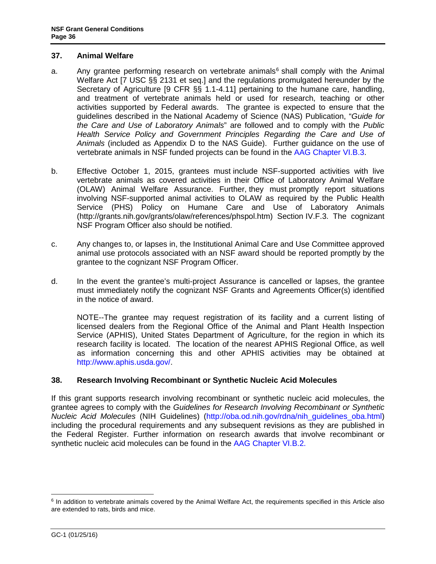#### <span id="page-35-0"></span>**37. Animal Welfare**

- a. Any grantee performing research on vertebrate animals<sup>[6](#page-35-1)</sup> shall comply with the Animal Welfare Act [\[7 USC §§ 2131 et seq.](http://www.access.gpo.gov/uscode/title7/chapter54_.html)] and the regulations promulgated hereunder by the Secretary of Agriculture [\[9 CFR §§ 1.1-4.11\]](http://www.access.gpo.gov/nara/cfr/waisidx_07/9cfrv1_07.html) pertaining to the humane care, handling, and treatment of vertebrate animals held or used for research, teaching or other activities supported by Federal awards. The grantee is expected to ensure that the guidelines described in the National Academy of Science (NAS) Publication, "*[Guide for](http://www.nap.edu/readingroom/books/labrats/)  [the Care and Use of Laboratory Animals](http://www.nap.edu/readingroom/books/labrats/)*" are followed and to comply with the *Public Health Service Policy and Government Principles Regarding the Care and Use of Animals* (included as Appendix D to the NAS Guide). Further guidance on the use of vertebrate animals in NSF funded projects can be found in the [AAG Chapter VI.B.3.](http://www.nsf.gov/pubs/policydocs/pappguide/nsf16001/aag_6.jsp#VIB3)
- b. Effective October 1, 2015, grantees must include NSF-supported activities with live vertebrate animals as covered activities in their Office of Laboratory Animal Welfare (OLAW) Animal Welfare Assurance. Further, they must promptly report situations involving NSF-supported animal activities to OLAW as required by the Public Health Service (PHS) Policy on Humane Care and Use of Laboratory Animals [\(http://grants.nih.gov/grants/olaw/references/phspol.htm\)](http://grants.nih.gov/grants/olaw/references/phspol.htm) Section IV.F.3. The cognizant NSF Program Officer also should be notified.
- c. Any changes to, or lapses in, the Institutional Animal Care and Use Committee approved animal use protocols associated with an NSF award should be reported promptly by the grantee to the cognizant NSF Program Officer.
- d. In the event the grantee's multi-project Assurance is cancelled or lapses, the grantee must immediately notify the cognizant NSF Grants and Agreements Officer(s) identified in the notice of award.

NOTE--The grantee may request registration of its facility and a current listing of licensed dealers from the Regional Office of the Animal and Plant Health Inspection Service (APHIS), United States Department of Agriculture, for the region in which its research facility is located. The location of the nearest APHIS Regional Office, as well as information concerning this and other APHIS activities may be obtained at [http://www.aphis.usda.gov/.](http://www.aphis.usda.gov/)

#### **38. Research Involving Recombinant or Synthetic Nucleic Acid Molecules**

If this grant supports research involving recombinant or synthetic nucleic acid molecules, the grantee agrees to comply with the *Guidelines for Research Involving Recombinant or Synthetic Nucleic Acid Molecules* (NIH Guidelines) [\(http://oba.od.nih.gov/rdna/nih\\_guidelines\\_oba.html\)](http://oba.od.nih.gov/rdna/nih_guidelines_oba.html) including the procedural requirements and any subsequent revisions as they are published in the Federal Register. Further information on research awards that involve recombinant or synthetic nucleic acid molecules can be found in the [AAG Chapter VI.B.2.](http://www.nsf.gov/pubs/policydocs/pappguide/nsf16001/aag_6.jsp#VIB2)

<span id="page-35-1"></span> $6$  In addition to vertebrate animals covered by the Animal Welfare Act, the requirements specified in this Article also are extended to rats, birds and mice.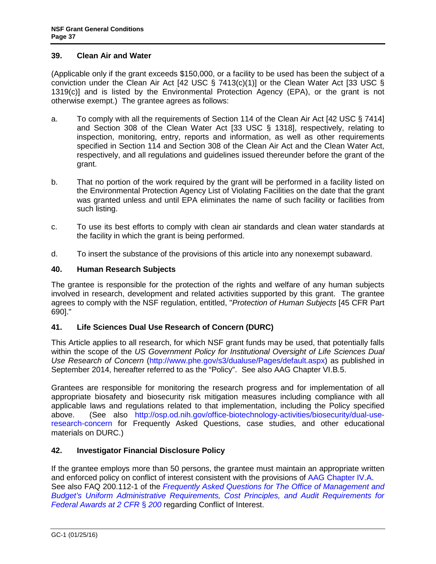#### <span id="page-36-0"></span>**39. Clean Air and Water**

(Applicable only if the grant exceeds \$150,000, or a facility to be used has been the subject of a conviction under the Clean Air Act [\[42 USC § 7413\(c\)\(1\)\]](http://frwebgate.access.gpo.gov/cgi-bin/getdoc.cgi?dbname=browse_usc&docid=Cite:+42USC7413) or the Clean Water Act [\[33 USC §](http://frwebgate.access.gpo.gov/cgi-bin/getdoc.cgi?dbname=browse_usc&docid=Cite:+33USC1319)  [1319\(c\)](http://frwebgate.access.gpo.gov/cgi-bin/getdoc.cgi?dbname=browse_usc&docid=Cite:+33USC1319)] and is listed by the Environmental Protection Agency (EPA), or the grant is not otherwise exempt.) The grantee agrees as follows:

- a. To comply with all the requirements of Section 114 of the Clean Air Act [\[42 USC § 7414\]](http://frwebgate.access.gpo.gov/cgi-bin/getdoc.cgi?dbname=browse_usc&docid=Cite:+42USC7414) and Section 308 of the Clean Water Act [\[33 USC § 1318\]](http://frwebgate.access.gpo.gov/cgi-bin/getdoc.cgi?dbname=browse_usc&docid=Cite:+33USC1318), respectively, relating to inspection, monitoring, entry, reports and information, as well as other requirements specified in Section 114 and Section 308 of the Clean Air Act and the Clean Water Act, respectively, and all regulations and guidelines issued thereunder before the grant of the grant.
- b. That no portion of the work required by the grant will be performed in a facility listed on the Environmental Protection Agency List of Violating Facilities on the date that the grant was granted unless and until EPA eliminates the name of such facility or facilities from such listing.
- c. To use its best efforts to comply with clean air standards and clean water standards at the facility in which the grant is being performed.
- d. To insert the substance of the provisions of this article into any nonexempt subaward.

## **40. Human Research Subjects**

The grantee is responsible for the protection of the rights and welfare of any human subjects involved in research, development and related activities supported by this grant. The grantee agrees to comply with the NSF regulation, entitled, "*Protection of Human Subjects* [\[45 CFR Part](http://www.access.gpo.gov/nara/cfr/waisidx_06/45cfr690_06.html)  [690\].](http://www.access.gpo.gov/nara/cfr/waisidx_06/45cfr690_06.html)"

## **41. Life Sciences Dual Use Research of Concern (DURC)**

This Article applies to all research, for which NSF grant funds may be used, that potentially falls within the scope of the *US Government Policy for Institutional Oversight of Life Sciences Dual Use Research of Concern* [\(http://www.phe.gov/s3/dualuse/Pages/default.aspx\)](http://www.phe.gov/s3/dualuse/Pages/default.aspx) as published in September 2014, hereafter referred to as the "Policy". See also AAG Chapter VI.B.5.

Grantees are responsible for monitoring the research progress and for implementation of all appropriate biosafety and biosecurity risk mitigation measures including compliance with all applicable laws and regulations related to that implementation, including the Policy specified above. (See also [http://osp.od.nih.gov/office-biotechnology-activities/biosecurity/dual-use](http://osp.od.nih.gov/office-biotechnology-activities/biosecurity/dual-use-research-concern)[research-concern](http://osp.od.nih.gov/office-biotechnology-activities/biosecurity/dual-use-research-concern) for Frequently Asked Questions, case studies, and other educational materials on DURC.)

## **42. Investigator Financial Disclosure Policy**

If the grantee employs more than 50 persons, the grantee must maintain an appropriate written and enforced policy on conflict of interest consistent with the provisions of [AAG Chapter IV.A.](http://www.nsf.gov/pubs/policydocs/pappguide/nsf16001/aag_4.jsp#IVA) See also FAQ 200.112-1 of the *[Frequently Asked Questions for The Office of Management and](https://cfo.gov/wp-content/uploads/2015/09/9.9.15-Frequently-Asked-Questions.pdf)  [Budget's Uniform Administrative Requirements, Cost Principles, and Audit Requirements for](https://cfo.gov/wp-content/uploads/2015/09/9.9.15-Frequently-Asked-Questions.pdf)  [Federal Awards at 2 CFR](https://cfo.gov/wp-content/uploads/2015/09/9.9.15-Frequently-Asked-Questions.pdf)* § *200* regarding Conflict of Interest.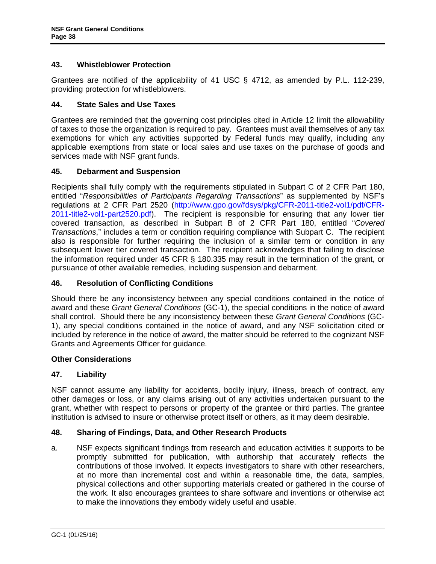## <span id="page-37-0"></span>**43. Whistleblower Protection**

Grantees are notified of the applicability of 41 USC § 4712, as amended by P.L. 112-239, providing protection for whistleblowers.

#### **44. State Sales and Use Taxes**

Grantees are reminded that the governing cost principles cited in [Article 12](#page-12-3) limit the allowability of taxes to those the organization is required to pay. Grantees must avail themselves of any tax exemptions for which any activities supported by Federal funds may qualify, including any applicable exemptions from state or local sales and use taxes on the purchase of goods and services made with NSF grant funds.

#### **45. Debarment and Suspension**

Recipients shall fully comply with the requirements stipulated in [Subpart C of 2 CFR Part 180,](http://www.whitehouse.gov/omb/fedreg/2005/083105_debarment.pdf) entitled "*Responsibilities of Participants Regarding Transactions*" as supplemented by NSF's regulations at 2 CFR Part 2520 [\(http://www.gpo.gov/fdsys/pkg/CFR-2011-title2-vol1/pdf/CFR-](http://www.gpo.gov/fdsys/pkg/CFR-2011-title2-vol1/pdf/CFR-2011-title2-vol1-part2520.pdf)[2011-title2-vol1-part2520.pdf\)](http://www.gpo.gov/fdsys/pkg/CFR-2011-title2-vol1/pdf/CFR-2011-title2-vol1-part2520.pdf). The recipient is responsible for ensuring that any lower tier covered transaction, as described in [Subpart B of 2 CFR Part 180,](http://www.whitehouse.gov/omb/fedreg/2005/083105_debarment.pdf) entitled "*Covered Transactions*," includes a term or condition requiring compliance with Subpart C. The recipient also is responsible for further requiring the inclusion of a similar term or condition in any subsequent lower tier covered transaction. The recipient acknowledges that failing to disclose the information required under 45 [CFR § 180.335](http://www.nsf.gov/oig/2_CFR_PART180.pdf) may result in the termination of the grant, or pursuance of other available remedies, including suspension and debarment.

## **46. Resolution of Conflicting Conditions**

Should there be any inconsistency between any special conditions contained in the notice of award and these *Grant General Conditions* (GC-1), the special conditions in the notice of award shall control. Should there be any inconsistency between these *Grant General Conditions* (GC-1), any special conditions contained in the notice of award, and any NSF solicitation cited or included by reference in the notice of award, the matter should be referred to the cognizant NSF Grants and Agreements Officer for guidance.

#### **Other Considerations**

## **47. Liability**

NSF cannot assume any liability for accidents, bodily injury, illness, breach of contract, any other damages or loss, or any claims arising out of any activities undertaken pursuant to the grant, whether with respect to persons or property of the grantee or third parties. The grantee institution is advised to insure or otherwise protect itself or others, as it may deem desirable.

#### **48. Sharing of Findings, Data, and Other Research Products**

a. NSF expects significant findings from research and education activities it supports to be promptly submitted for publication, with authorship that accurately reflects the contributions of those involved. It expects investigators to share with other researchers, at no more than incremental cost and within a reasonable time, the data, samples, physical collections and other supporting materials created or gathered in the course of the work. It also encourages grantees to share software and inventions or otherwise act to make the innovations they embody widely useful and usable.